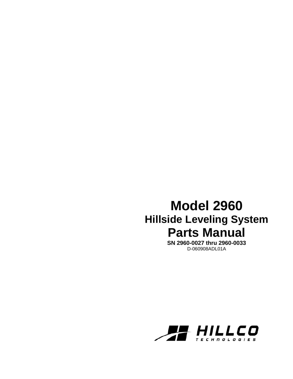# **Model 2960 Hillside Leveling System Parts Manual**

**SN 2960-0027 thru 2960-0033**  D-060908ADL01A

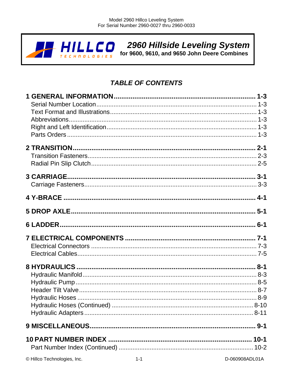

## **TABLE OF CONTENTS**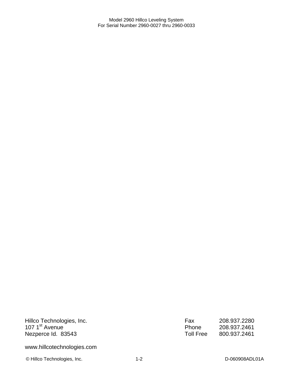Hillco Technologies, Inc. 107 1<sup>st</sup> Avenue Nezperce Id. 83543

www.hillcotechnologies.com

© Hillco Technologies, Inc. 1-2 1-2 D-060908ADL01A

| Fax       | 208.937.2280 |
|-----------|--------------|
| Phone     | 208.937.2461 |
| Toll Free | 800.937.2461 |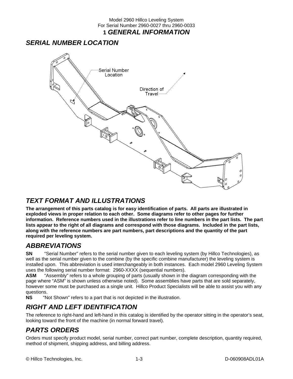### Model 2960 Hillco Leveling System For Serial Number 2960-0027 thru 2960-0033 **1** *GENERAL INFORMATION*

### *SERIAL NUMBER LOCATION*



### *TEXT FORMAT AND ILLUSTRATIONS*

**The arrangement of this parts catalog is for easy identification of parts. All parts are illustrated in exploded views in proper relation to each other. Some diagrams refer to other pages for further information. Reference numbers used in the illustrations refer to line numbers in the part lists. The part lists appear to the right of all diagrams and correspond with those diagrams. Included in the part lists, along with the reference numbers are part numbers, part descriptions and the quantity of the part required per leveling system.** 

### *ABBREVIATIONS*

**SN** "Serial Number" refers to the serial number given to each leveling system (by Hillco Technologies), as well as the serial number given to the combine (by the specific combine manufacturer) the leveling system is installed upon. This abbreviation is used interchangeably in both instances. Each model 2960 Leveling System uses the following serial number format: 2960-XXXX (sequential numbers).

**ASM** "Assembly" refers to a whole grouping of parts (usually shown in the diagram corresponding with the page where "ASM" is shown unless otherwise noted). Some assemblies have parts that are sold separately, however some must be purchased as a single unit. Hillco Product Specialists will be able to assist you with any questions.<br>NS "N

"Not Shown" refers to a part that is not depicted in the illustration.

### *RIGHT AND LEFT IDENTIFICATION*

The reference to right-hand and left-hand in this catalog is identified by the operator sitting in the operator's seat, looking toward the front of the machine (in normal forward travel).

### *PARTS ORDERS*

Orders must specify product model, serial number, correct part number, complete description, quantity required, method of shipment, shipping address, and billing address.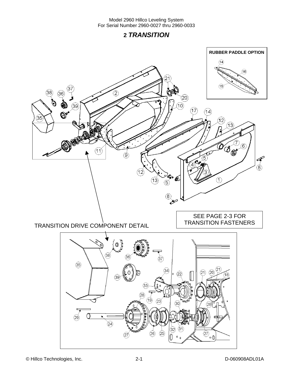### **2** *TRANSITION*

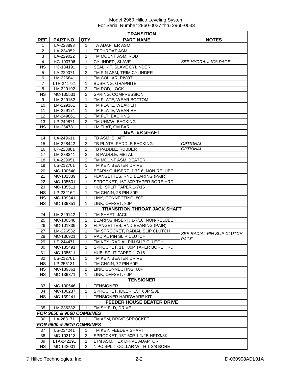| <b>TRANSITION</b>                |                          |                |                                       |                            |  |
|----------------------------------|--------------------------|----------------|---------------------------------------|----------------------------|--|
| REF.                             | PART NO.                 | QTY.           | <b>PART NAME</b>                      | <b>NOTES</b>               |  |
| 1                                | LA-228893                | 1              | TA ADAPTER ASM                        |                            |  |
| $\overline{2}$                   | LA-234952                | 1              | TT THROAT ASM                         |                            |  |
| 3                                | LA-229022                | 1              | TM MOUNT ASM, ROD                     |                            |  |
| 4                                | HC-100706                | $\mathbf{1}$   | CYLINDER, SLAVE                       | <b>SEE HYDRAULICS PAGE</b> |  |
| <b>NS</b>                        | HC-134191                | $\mathbf{1}$   | SEAL KIT, SLAVE CYLINDER              |                            |  |
| 5                                | LA-229071                | $\overline{2}$ | TM PIN ASM, TRIM CYLINDER             |                            |  |
| 6                                | LM-226841                | $\mathbf{1}$   | TM COLLAR, PIVOT                      |                            |  |
| $\overline{7}$                   | LTP-241721               | 1              | <b>BUSHING, GRAPHITE</b>              |                            |  |
| 8                                | LM-229192                | 2              | TM ROD, LOCK                          |                            |  |
| <b>NS</b>                        | MC-135531                | $\overline{c}$ | SPRING, COMPRESSION                   |                            |  |
| 9                                | LM-229152                | 1              | TM PLATE, WEAR BOTTOM                 |                            |  |
| 10                               | LM-229161                | 1              | TM PLATE, WEAR LH                     |                            |  |
| 11                               | LM-229171                | 1              | TM PLATE, WEAR RH                     |                            |  |
| 12                               | LM-249861                | $\overline{2}$ | TM PLT, BACKING                       |                            |  |
| 13                               | LP-249871                | $\overline{2}$ | TM UHMW, BACKING                      |                            |  |
| <b>NS</b>                        | LM-254781                | 1              | LM FLAT, CM BAR                       |                            |  |
|                                  |                          |                | <b>BEATER SHAFT</b>                   |                            |  |
| 14                               | LA-249611                | 1              | TB ASM, SHAFT                         |                            |  |
| 15                               | LM-228442                | 2              | TB PLATE, PADDLE BACKING              | <b>OPTIONAL</b>            |  |
| 16                               | LP-228881                | 2              | TB PADDLE, RUBBER                     | <b>OPTIONAL</b>            |  |
| 17                               | LM-238341                | $\overline{2}$ | TB PADDLE, METAL                      |                            |  |
| 18                               | LA-229051                | $\overline{2}$ | TM MOUNT ASM, BEATER                  |                            |  |
| 19                               | LS-212701                | $\mathbf{1}$   | TM KEY, BEATER DRIVE                  |                            |  |
| 20                               | MC-100548                | 2              | BEARING INSERT, 1-7/16, NON-RELUBE    |                            |  |
| 21                               | MC-101339                | $\overline{2}$ | <b>FLANGETTES, RND BEARING (PAIR)</b> |                            |  |
| 22                               | MC-135501                | 1              | SPROCKET, 16T 80P TAPER BORE HRD      |                            |  |
| 23                               | MC-135511                | 1              | HUB, SPLIT TAPER 1-7/16               |                            |  |
| <b>NS</b>                        | LP-232162                | $\mathbf{1}$   | TM CHAIN, 28 PIN 80P                  |                            |  |
| NS                               | MC-139341                | 1              | LINK, CONNECTING, 80P                 |                            |  |
| <b>NS</b>                        | MC-139351                | 1              | LINK, OFFSET, 80P                     |                            |  |
|                                  |                          |                | <b>TRANSITION THROAT JACK SHAFT</b>   |                            |  |
| 24                               | LM-229142                | 1              | TM SHAFT, JACK                        |                            |  |
| 25                               | MC-100548                | 2              | BEARING INSERT, 1-7/16, NON-RELUBE    |                            |  |
| 26                               | MC-101339                | 2              | FLANGETTES, RND BEARING (PAIR)        |                            |  |
| 27                               | LM-226532                | 1              | TM SPROCKET, RADIAL SLIP CLUTCH       | SEE RADIAL PIN SLIP CLUTCH |  |
| 28                               | MC-136921                | $\mathbf{1}$   | RADIAL PIN SLIP CLUTCH                | PAGE                       |  |
| 29                               | LS-244471                | $\mathbf{1}$   | TM KEY, RADIAL PIN SLIP CLUTCH        |                            |  |
| 30                               | MC-135491                | 1              | SPROCKET, 11T 80P TAPER BORE HRD      |                            |  |
| 31                               | MC-135511                | 1              | HUB, SPLIT TAPER 1-7/16               |                            |  |
| 32                               | LS-212701                | 1              | TM KEY, BEATER DRIVE                  |                            |  |
| <b>NS</b>                        | LP-255131                | 1              | TM CHAIN, 72 PIN 60P                  |                            |  |
| <b>NS</b>                        | MC-139361                | 1              | LINK, CONNECTING, 60P                 |                            |  |
| <b>NS</b>                        | MC-139371                | 1              | LINK, OFFSET, 60P                     |                            |  |
|                                  |                          |                | <b>TENSIONER</b>                      |                            |  |
| 33                               | MC-100546                | 1              | <b>TENSIONER</b>                      |                            |  |
| 34                               | MC-100237                | 1              | SPROCKET, IDLER, 15T 60P 5/8B         |                            |  |
| <b>NS</b>                        | MC-139241                | 1              | TENSIONER HARDWARE KIT                |                            |  |
| <b>FEEDER HOUSE BEATER DRIVE</b> |                          |                |                                       |                            |  |
| 35                               | LM-236232                | 1              | TM SHIELD, DRIVE                      |                            |  |
|                                  | FOR 9650 & 9660 COMBINES |                |                                       |                            |  |
| 36                               | LA-263171                | $\mathbf{1}$   | TM ASM, DRIVE SPROCKET                |                            |  |
|                                  | FOR 9600 & 9610 COMBINES |                |                                       |                            |  |
| 37                               | LS-234241                | 1              | TM KEY, FEEDER SHAFT                  |                            |  |
| 38                               | MC-103113                | 2              | SPROCKET, 15T 60P 1-1/2B HRD3/8K      |                            |  |
| 39                               | LTA-242191               | 1              | LTM ASM, HEX DRIVE ADAPTOR            |                            |  |
| <b>NS</b>                        | MC-142001                | 2              | 1-PC SPLIT COLLAR WITH 1-3/8 BORE     |                            |  |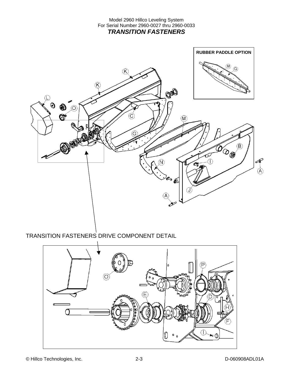

TRANSITION FASTENERS DRIVE COMPONENT DETAIL

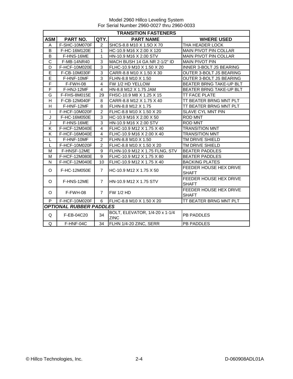|              | <b>TRANSITION FASTENERS</b>    |                |                                               |                                        |  |  |
|--------------|--------------------------------|----------------|-----------------------------------------------|----------------------------------------|--|--|
| <b>ASM</b>   | PART NO.                       | QTY.           | <b>PART NAME</b>                              | <b>WHERE USED</b>                      |  |  |
| A            | F-SHC-10M070F                  | $\overline{2}$ | SHCS-8.8 M10 X 1.5O X 70                      | THA HEADER LOCK                        |  |  |
| B            | F-HC-16M120E                   | 1              | HC-10.9 M16 X 2.00 X 120                      | <b>MAIN PIVOT PIN COLLAR</b>           |  |  |
| B            | F-HNS-16ME                     | 1              | HN-10.9 M16 X 2.00 STV                        | <b>MAIN PIVOT PIN COLLAR</b>           |  |  |
| C            | F-MB-14NR40                    | 3              | MACH BUSH 14 GA NR 2-1/2" ID                  | <b>MAIN PIVOT PIN</b>                  |  |  |
| D            | F-HCF-10M020E                  | $\overline{3}$ | FLHC-10.9 M10 X 1.50 X 20                     | <b>INNER 3-BOLT JS BEARING</b>         |  |  |
| E            | F-CB-10M030F                   | 3              | CARR-8.8 M10 X 1.50 X 30                      | OUTER 3-BOLT JS BEARING                |  |  |
| E            | F-HNF-10MF                     | 3              | FLHN-8.8 M10 X 1.50                           | OUTER 3-BOLT JS BEARING                |  |  |
| F            | F-FWH-08                       | $\overline{4}$ | FW 1/2 HD YELLOW                              | BEATER BRNG TAKE-UP BLT                |  |  |
| F            | F-HNJ-12MF                     | $\overline{4}$ | HN-8.8 M12 X 1.75 JAM                         | <b>BEATER BRNG TAKE-UP BLT</b>         |  |  |
| G            | F-FHS-8M015E                   | 29             | FHSC-10.9 M8 X 1.25 X 15                      | <b>TT FACE PLATE</b>                   |  |  |
| H            | F-CB-12M040F                   | 8              | CARR-8.8 M12 X 1.75 X 40                      | TT BEATER BRNG MNT PLT                 |  |  |
| H            | F-HNF-12MF                     | 8              | FLHN-8.8 M12 X 1.75                           | TT BEATER BRNG MNT PLT                 |  |  |
| I.           | F-HCF-10M020F                  | $\overline{2}$ | FLHC-8.8 M10 X 1.50 X 20                      | <b>SLAVE CYL MNT PIN</b>               |  |  |
| J            | F-HC-16M050E                   | 3              | HC-10.9 M16 X 2.00 X 50                       | <b>ROD MNT</b>                         |  |  |
| J            | F-HNS-16ME                     | 3              | HN-10.9 M16 X 2.00 STV                        | <b>ROD MNT</b>                         |  |  |
| K            | F-HCF-12M040E                  | $\overline{4}$ | FLHC-10.9 M12 X 1.75 X 40                     | <b>TRANSITION MNT</b>                  |  |  |
| K            | F-HCF-16M040E                  | $\overline{4}$ | FLHC-10.9 M16 X 2.00 X 40                     | <b>TRANSITION MNT</b>                  |  |  |
| $\mathsf{L}$ | F-HNF-10MF                     | $\overline{2}$ | FLHN-8.8 M10 X 1.50                           | TM DRIVE SHIELD                        |  |  |
| $\mathsf{L}$ | F-HCF-10M020F                  | $\overline{2}$ | FLHC-8.8 M10 X 1.50 X 20                      | TM DRIVE SHIELD                        |  |  |
| M            | F-HNSF-12ME                    | 9              | FLHN-10.9 M12 X 1.75 FLNG, STV                | <b>BEATER PADDLES</b>                  |  |  |
| M            | F-HCF-12M080E                  | 9              | FLHC-10.9 M12 X 1.75 X 80                     | <b>BEATER PADDLES</b>                  |  |  |
| N            | F-HCF-12M040E                  | 10             | FLHC-10.9 M12 X 1.75 X 40                     | <b>BACKING PLATES</b>                  |  |  |
| O            | F-HC-12M050E                   | $\overline{7}$ | HC-10.9 M12 X 1.75 X 50                       | FEEDER HOUSE HEX DRIVE<br><b>SHAFT</b> |  |  |
| O            | F-HNS-12ME                     | $\overline{7}$ | HN-10.9 M12 X 1.75 STV                        | FEEDER HOUSE HEX DRIVE<br><b>SHAFT</b> |  |  |
| O            | F-FWH-08                       | $\overline{7}$ | <b>FW 1/2 HD</b>                              | FEEDER HOUSE HEX DRIVE<br><b>SHAFT</b> |  |  |
| P            | F-HCF-10M020F                  | 6              | FLHC-8.8 M10 X 1.50 X 20                      | TT BEATER BRNG MNT PLT                 |  |  |
|              | <b>OPTIONAL RUBBER PADDLES</b> |                |                                               |                                        |  |  |
| Q            | F-EB-04C20                     | 34             | BOLT, ELEVATOR, 1/4-20 x 1-1/4<br><b>ZINC</b> | <b>PB PADDLES</b>                      |  |  |
| Q            | F-HNF-04C                      | 34             | FLHN 1/4-20 ZINC, SERR                        | <b>PB PADDLES</b>                      |  |  |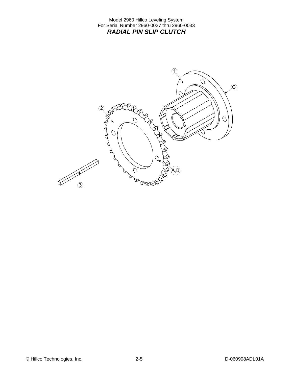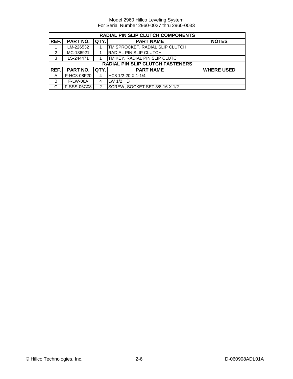|                | <b>RADIAL PIN SLIP CLUTCH COMPONENTS</b> |               |                                  |                   |  |  |
|----------------|------------------------------------------|---------------|----------------------------------|-------------------|--|--|
| REF.           | PART NO.                                 | QTY.          | <b>PART NAME</b>                 | <b>NOTES</b>      |  |  |
|                | LM-226532                                |               | TM SPROCKET, RADIAL SLIP CLUTCH  |                   |  |  |
| $\mathfrak{p}$ | MC-136921                                |               | <b>RADIAL PIN SLIP CLUTCH</b>    |                   |  |  |
| 3              | LS-244471                                |               | TM KEY, RADIAL PIN SLIP CLUTCH   |                   |  |  |
|                |                                          |               | RADIAL PIN SLIP CLUTCH FASTENERS |                   |  |  |
| REF.I          | PART NO.                                 | QTY.          | <b>PART NAME</b>                 | <b>WHERE USED</b> |  |  |
| A              | F-HC8-08F20                              | 4             | HC8 1/2-20 X 1-1/4               |                   |  |  |
| B              | <b>F-LW-08A</b>                          | 4             | LW 1/2 HD                        |                   |  |  |
| C              | F-SSS-06C08                              | $\mathcal{P}$ | SCREW, SOCKET SET 3/8-16 X 1/2   |                   |  |  |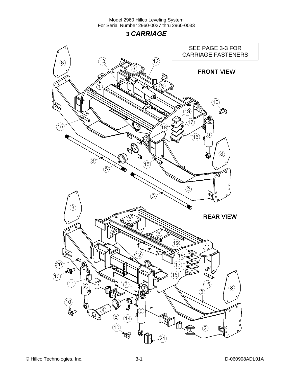**3** *CARRIAGE* 

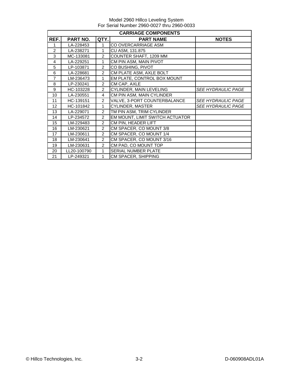| <b>CARRIAGE COMPONENTS</b> |             |                |                                 |                           |  |
|----------------------------|-------------|----------------|---------------------------------|---------------------------|--|
| REF.                       | PART NO.    | QTY.           | <b>PART NAME</b>                | <b>NOTES</b>              |  |
| 1                          | LA-228453   | 1              | CO OVERCARRIAGE ASM             |                           |  |
| $\mathfrak{p}$             | LA-238271   | 1              | CU ASM, 131.875                 |                           |  |
| 3                          | MC-133081   | $\mathcal{P}$  | COUNTER SHAFT, 1209 MM          |                           |  |
| 4                          | LA-229251   | 1              | CM PIN ASM, MAIN PIVOT          |                           |  |
| 5                          | LP-103871   | $\overline{2}$ | CO BUSHING, PIVOT               |                           |  |
| 6                          | LA-228681   | $\overline{2}$ | CM PLATE ASM, AXLE BOLT         |                           |  |
| $\overline{7}$             | LM-236473   | 1              | EM PLATE, CONTROL BOX MOUNT     |                           |  |
| 8                          | LP-230241   | $\overline{2}$ | CM CAP, AXLE                    |                           |  |
| 9                          | HC-103228   | $\overline{2}$ | CYLINDER, MAIN LEVELING         | <b>SEE HYDRAULIC PAGE</b> |  |
| 10                         | LA-230551   | 4              | CM PIN ASM, MAIN CYLINDER       |                           |  |
| 11                         | HC-139151   | $\overline{2}$ | VALVE, 3-PORT COUNTERBALANCE    | <b>SEE HYDRAULIC PAGE</b> |  |
| 12                         | HC-101842   | 1              | CYLINDER, MASTER                | <b>SEE HYDRAULIC PAGE</b> |  |
| 13                         | LA-229071   | $\mathcal{P}$  | TM PIN ASM, TRIM CYLINDER       |                           |  |
| 14                         | LP-234572   | $\mathcal{P}$  | EM MOUNT, LIMIT SWITCH ACTUATOR |                           |  |
| 15                         | LM-229483   | $\overline{2}$ | CM PIN, HEADER LIFT             |                           |  |
| 16                         | LM-230621   | $\overline{2}$ | CM SPACER, CO MOUNT 3/8         |                           |  |
| 17                         | LM-230611   | $\mathcal{P}$  | CM SPACER, CO MOUNT 1/4         |                           |  |
| 18                         | LM-230641   | $\overline{2}$ | CM SPACER, CO MOUNT 3/16        |                           |  |
| 19                         | LM-230631   | $\mathcal{P}$  | CM PAD, CO MOUNT TOP            |                           |  |
| 20                         | LL20-100790 | 1              | <b>SERIAL NUMBER PLATE</b>      |                           |  |
| 21                         | LP-249321   | 1              | <b>CM SPACER, SHIPPING</b>      |                           |  |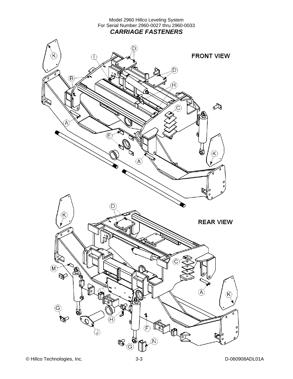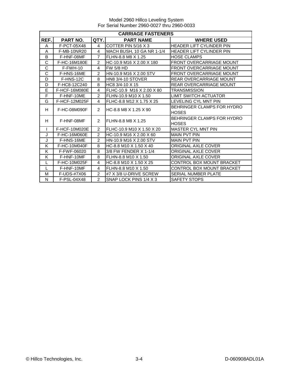|              | <b>CARRIAGE FASTENERS</b> |                |                           |                                            |  |
|--------------|---------------------------|----------------|---------------------------|--------------------------------------------|--|
| REF.         | <b>PART NO.</b>           | QTY.           | <b>PART NAME</b>          | <b>WHERE USED</b>                          |  |
| A            | F-PCT-05X48               | 4              | COTTER PIN 5/16 X 3       | HEADER LIFT CYLINDER PIN                   |  |
| A            | F-MB-10NR20               | 4              | MACH BUSH, 10 GA NR 1-1/4 | HEADER LIFT CYLINDER PIN                   |  |
| B            | F-HNF-08MF                | $\overline{7}$ | FLHN-8.8 M8 X 1.25        | <b>HOSE CLAMPS</b>                         |  |
| C            | F-HC-16M180E              | $\overline{2}$ | HC-10.9 M16 X 2.00 X 180  | <b>FRONT OVERCARRIAGE MOUNT</b>            |  |
| C            | $F-FWH-10$                | 4              | <b>FW 5/8 HD</b>          | <b>FRONT OVERCARRIAGE MOUNT</b>            |  |
| C            | F-HNS-16ME                | $\overline{2}$ | HN-10.9 M16 X 2.00 STV    | <b>FRONT OVERCARRIAGE MOUNT</b>            |  |
| D            | F-HNS-12C                 | 8              | <b>HN8 3/4-10 STOVER</b>  | <b>REAR OVERCARRIAGE MOUNT</b>             |  |
| D            | F-HC8-12C240              | 8              | HC8 3/4-10 X 15           | <b>REAR OVERCARRIAGE MOUNT</b>             |  |
| E            | F-HCF-16M080E             | 4              | FLHC-10.9 M16 X 2.00 X 80 | <b>TRANSMISSION</b>                        |  |
| F            | F-HNF-10ME                | $\overline{2}$ | FLHN-10.9 M10 X 1.50      | LIMIT SWITCH ACTUATOR                      |  |
| G            | F-HCF-12M025F             | 4              | FLHC-8.8 M12 X 1.75 X 25  | LEVELING CYL MNT PIN                       |  |
| H            | F-HC-08M090F              | $\overline{2}$ | HC-8.8 M8 X 1.25 X 90     | BEHRINGER CLAMPS FOR HYDRO<br><b>HOSES</b> |  |
| н            | F-HNF-08MF                | $\overline{2}$ | FLHN-8.8 M8 X 1.25        | BEHRINGER CLAMPS FOR HYDRO<br><b>HOSES</b> |  |
| $\mathbf{I}$ | F-HCF-10M020E             | $\overline{2}$ | FLHC-10.9 M10 X 1.50 X 20 | <b>MASTER CYL MNT PIN</b>                  |  |
| J            | F-HC-16M060E              | $\mathcal{P}$  | HC-10.9 M16 X 2.00 X 60   | MAIN PVT PIN                               |  |
| J            | F-HNS-16ME                | $\overline{2}$ | HN-10.9 M16 X 2.00 STV    | <b>MAIN PVT PIN</b>                        |  |
| K            | F-HC-10M040F              | 8              | HC-8.8 M10 X 1.50 X 40    | ORIGINAL AXLE COVER                        |  |
| K            | F-FWF-06020               | 8              | 3/8 FW FENDER X 1-1/4     | ORIGINAL AXLE COVER                        |  |
| K            | F-HNF-10MF                | 8              | FLHN-8.8 M10 X 1.50       | ORIGINAL AXLE COVER                        |  |
| L            | F-HC-10M025F              | 4              | HC-8.8 M10 X 1.50 X 25    | CONTROL BOX MOUNT BRACKET                  |  |
| L            | F-HNF-10MF                | 4              | FLHN-8.8 M10 X 1.50       | CONTROL BOX MOUNT BRACKET                  |  |
| М            | F-UDS-#7X06               | $\overline{2}$ | #7 X 3/8 U-DRIVE SCREW    | <b>SERIAL NUMBER PLATE</b>                 |  |
| N            | F-PSL-04X48               | $\overline{2}$ | SNAP LOCK PINS 1/4 X 3    | SAFETY STOPS                               |  |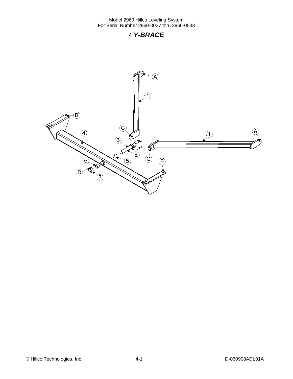### **4** *Y-BRACE*



© Hillco Technologies, Inc. 4-1 4-1 D-060908ADL01A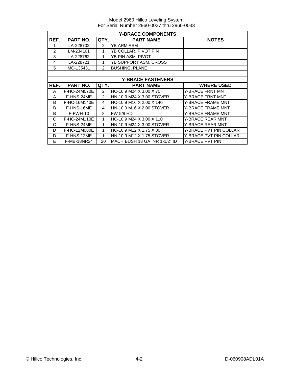|                | <b>Y-BRACE COMPONENTS</b> |                |                              |                               |  |  |
|----------------|---------------------------|----------------|------------------------------|-------------------------------|--|--|
| REF.           | <b>PART NO.</b>           | QTY.           | <b>PART NAME</b>             | <b>NOTES</b>                  |  |  |
|                | LA-228702                 | $\mathcal{P}$  | YB ARM ASM                   |                               |  |  |
| $\overline{2}$ | LM-234101                 | 1              | YB COLLAR, PIVOT PIN         |                               |  |  |
| 3              | LA-228762                 |                | YB PIN ASM, PIVOT            |                               |  |  |
| 4              | LA-228721                 | 1              | YB SUPPORT ASM, CROSS        |                               |  |  |
| 5              | MC-135431                 | $\overline{2}$ | <b>BUSHING, PLANE</b>        |                               |  |  |
|                |                           |                |                              |                               |  |  |
|                |                           |                | <b>Y-BRACE FASTENERS</b>     |                               |  |  |
| REF.           | <b>PART NO.</b>           | QTY.           | <b>PART NAME</b>             | <b>WHERE USED</b>             |  |  |
| A              | F-HC-24M070E              | $\mathcal{P}$  | HC-10.9 M24 X 3.00 X 70      | <b>Y-BRACE FRNT MNT</b>       |  |  |
| A              | F-HNS-24ME                | 2              | HN-10.9 M24 X 3.00 STOVER    | <b>Y-BRACE FRNT MNT</b>       |  |  |
| B              | F-HC-16M140E              | 4              | HC-10.9 M16 X 2.00 X 140     | <b>Y-BRACE FRAME MNT</b>      |  |  |
| B              | F-HNS-16ME                | 4              | HN-10.9 M16 X 2.00 STOVER    | Y-BRACE FRAME MNT             |  |  |
| B              | $F-FWH-10$                | 8              | <b>FW 5/8 HD</b>             | Y-BRACE FRAME MNT             |  |  |
| C              | F-HC-24M110E              | 1              | HC-10.9 M24 X 3.00 X 110     | Y-BRACE REAR MNT              |  |  |
| C              | F-HNS-24ME                | 1              | HN-10.9 M24 X 3.00 STOVER    | Y-BRACE REAR MNT              |  |  |
| D              | F-HC-12M080E              | 1              | HC-10.9 M12 X 1.75 X 80      | Y-BRACE PVT PIN COLLAR        |  |  |
| D              | F-HNS-12ME                | 1              | HN-10.9 M12 X 1.75 STOVER    | <b>Y-BRACE PVT PIN COLLAR</b> |  |  |
| E              | <b>F-MB-18NR24</b>        | 20             | MACH BUSH 18 GA NR 1-1/2" ID | <b>Y-BRACE PVT PIN</b>        |  |  |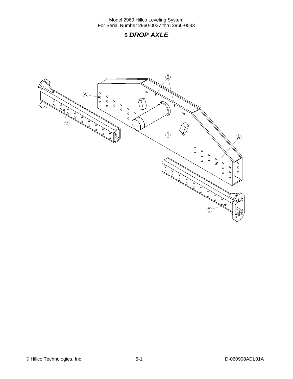### **5** *DROP AXLE*

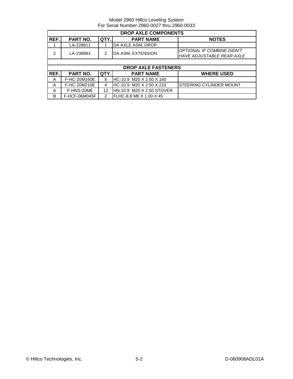|      | <b>DROP AXLE COMPONENTS</b> |      |                            |                                                                       |  |  |
|------|-----------------------------|------|----------------------------|-----------------------------------------------------------------------|--|--|
| REF. | PART NO.                    | QTY. | <b>PART NAME</b>           | <b>NOTES</b>                                                          |  |  |
|      | LA-228811                   |      | DA AXLE ASM, DROP          |                                                                       |  |  |
| 2    | LA-238881                   | 2    | DA ASM, EXTENSION          | <b>OPTIONAL IF COMBINE DIDN'T</b><br><b>HAVE ADJUSTABLE REAR AXLE</b> |  |  |
|      |                             |      |                            |                                                                       |  |  |
|      |                             |      | <b>DROP AXLE FASTENERS</b> |                                                                       |  |  |
| REF. | <b>PART NO.</b>             | QTY. | <b>PART NAME</b>           | <b>WHERE USED</b>                                                     |  |  |
| A    | F-HC-20M160E                | 8    | HC-10.9 M20 X 2.50 X 160   |                                                                       |  |  |
| A    | F-HC-20M210E                | 4    | HC-10.9 M20 X 2.50 X 210   | STEERING CYLINDER MOUNT                                               |  |  |
| A    | F-HNS-20ME                  | 12   | HN-10.9 M20 X 2.50 STOVER  |                                                                       |  |  |
|      |                             |      |                            |                                                                       |  |  |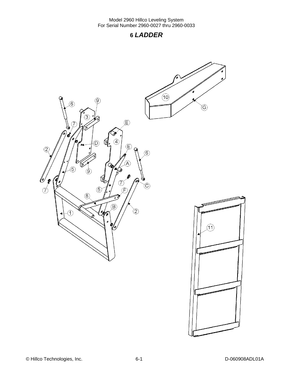### **6** *LADDER*

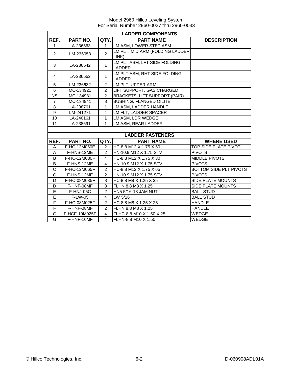|                | <b>LADDER COMPONENTS</b> |                |                                      |                        |  |  |  |
|----------------|--------------------------|----------------|--------------------------------------|------------------------|--|--|--|
| REF.           | PART NO.                 | QTY.           | <b>PART NAME</b>                     | <b>DESCRIPTION</b>     |  |  |  |
| $\mathbf{1}$   | LA-236563                | $\mathbf{1}$   | LM ASM, LOWER STEP ASM               |                        |  |  |  |
| $\overline{2}$ | LM-236053                | $\overline{2}$ | LM PLT, MID ARM (FOLDING LADDER      |                        |  |  |  |
|                |                          |                | LINK)                                |                        |  |  |  |
| 3              | LA-236542                | $\mathbf{1}$   | LM PLT ASM, LFT SIDE FOLDING         |                        |  |  |  |
|                |                          |                | <b>LADDER</b>                        |                        |  |  |  |
| 4              | LA-236552                | $\mathbf{1}$   | LM PLT ASM, RHT SIDE FOLDING         |                        |  |  |  |
|                |                          |                | <b>LADDER</b>                        |                        |  |  |  |
| 5              | LM-236632                | 2              | LM PLT, UPPER ARM                    |                        |  |  |  |
| 6              | MC-134921                | 2              | LIFT SUPPORT, GAS CHARGED            |                        |  |  |  |
| <b>NS</b>      | MC-134931                | 2              | <b>BRACKETS, LIFT SUPPORT (PAIR)</b> |                        |  |  |  |
| $\overline{7}$ | MC-134941                | 8              | <b>BUSHING, FLANGED OILITE</b>       |                        |  |  |  |
| 8              | LA-238761                | 1              | LM ASM, LADDER HANDLE                |                        |  |  |  |
| 9              | LM-241271                | $\overline{4}$ | LM FLT, LADDER SPACER                |                        |  |  |  |
| 10             | LA-240161                | $\mathbf{1}$   | LM ASM, LDR WEDGE                    |                        |  |  |  |
| 11             | LA-238691                | 1              | LM ASM, REAR LADDER                  |                        |  |  |  |
|                |                          |                |                                      |                        |  |  |  |
|                |                          |                | <b>LADDER FASTENERS</b>              |                        |  |  |  |
| REF.           | <b>PART NO.</b>          | QTY.           | <b>PART NAME</b>                     | <b>WHERE USED</b>      |  |  |  |
| Α              | F-HC-12M050E             | $\overline{2}$ | HC-8.8 M12 X 1.75 X 50               | TOP SIDE PLATE PIVOT   |  |  |  |
| A              | F-HNS-12ME               | $\overline{2}$ | HN-10.9 M12 X 1.75 STV               | <b>PIVOTS</b>          |  |  |  |
| B              | F-HC-12M030F             | $\overline{4}$ | HC-8.8 M12 X 1.75 X 30               | <b>MIDDLE PIVOTS</b>   |  |  |  |
| B              | F-HNS-12ME               | $\overline{4}$ | HN-10.9 M12 X 1.75 STV               | <b>PIVOTS</b>          |  |  |  |
| C              | F-HC-12M065F             | $\overline{2}$ | HC-8.8 M12 X 1.75 X 65               | BOTTOM SIDE PLT PIVOTS |  |  |  |
| $\overline{c}$ | F-HNS-12ME               | $\overline{2}$ | HN-10.9 M12 X 1.75 STV               | <b>PIVOTS</b>          |  |  |  |
| D              | F-HC-08M035F             | 8              | HC-8.8 M8 X 1.25 X 35                | SIDE PLATE MOUNTS      |  |  |  |
| D              | F-HNF-08MF               | 8              | FLHN 8.8 M8 X 1.25                   | SIDE PLATE MOUNTS      |  |  |  |
| E              | F-HNJ-05C                | 2              | HN5 5/16-18 JAM NUT                  | <b>BALL STUD</b>       |  |  |  |
| $\overline{E}$ | F-LW-05                  | $\overline{4}$ | LW 5/16                              | <b>BALL STUD</b>       |  |  |  |
| F              | F-HC-08M025F             | $\overline{c}$ | HC-8.8 M8 X 1.25 X 25                | <b>HANDLE</b>          |  |  |  |
| F              | F-HNF-08MF               | $\mathfrak{p}$ | FLHN 8.8 M8 X 1.25                   | <b>HANDLE</b>          |  |  |  |
| G              | F-HCF-10M025F            | 4              | FLHC-8.8 M10 X 1.50 X 25             | WEDGE                  |  |  |  |
| G              | F-HNF-10MF               | 4              | FLHN-8.8 M10 X 1.50                  | WEDGE                  |  |  |  |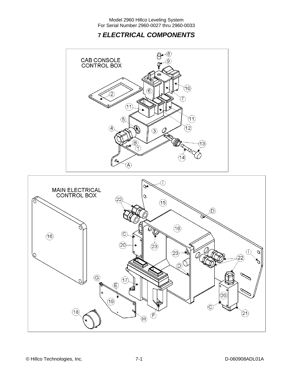### **7** *ELECTRICAL COMPONENTS*



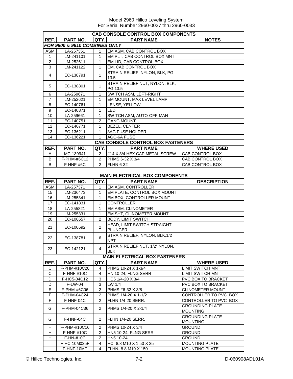| <b>CAB CONSOLE CONTROL BOX COMPONENTS</b> |                               |                |                                       |                         |  |
|-------------------------------------------|-------------------------------|----------------|---------------------------------------|-------------------------|--|
| REF.                                      | PART NO.                      | <b>QTY.</b>    | <b>PART NAME</b>                      | <b>NOTES</b>            |  |
|                                           | FOR 9600 & 9610 COMBINES ONLY |                |                                       |                         |  |
| ASM                                       | LA-257351                     | 1              | EM ASM, CAB CONTROL BOX               |                         |  |
| $\mathbf{1}$                              | LM-241101                     | 1              | EM PLT, CAB CONTROL BOX MNT           |                         |  |
| 2                                         | LM-252611                     | 1              | EM LID, CAB CONTROL BOX               |                         |  |
| $\sqrt{3}$                                | LM-241122                     | $\mathbf{1}$   | EM, CAB CONTROL BOX                   |                         |  |
|                                           |                               |                | STRAIN RELIEF, NYLON, BLK, PG         |                         |  |
| 4                                         | EC-138791                     | $\mathbf{1}$   | 13.5                                  |                         |  |
|                                           |                               |                | STRAIN RELIEF NUT, NYLON, BLK,        |                         |  |
| 5                                         | EC-138801                     | 1              | PG 13.5                               |                         |  |
| 6                                         | LA-259671                     | 1              | SWITCH ASM, LEFT-RIGHT                |                         |  |
| $\overline{7}$                            | LM-252621                     | 1              | EM MOUNT, MAX LEVEL LAMP              |                         |  |
| 8                                         | EC-140761                     | 1              | LENSE, YELLOW                         |                         |  |
| 9                                         | EC-140871                     | 1              | <b>I</b> LED                          |                         |  |
| 10                                        | LA-259661                     | $\mathbf{1}$   | SWITCH ASM, AUTO-OFF-MAN              |                         |  |
| 11                                        | EC-140751                     | 2              | <b>GANG MOUNT</b>                     |                         |  |
| 12                                        | EC-140771                     | 1              | <b>BEZEL, CENTER</b>                  |                         |  |
| 13                                        | EC-136211                     | 1              | <b>3AG FUSE HOLDER</b>                |                         |  |
| $\overline{14}$                           | EC-136221                     | $\mathbf{1}$   | AGC-6A FUSE                           |                         |  |
|                                           |                               |                | CAB CONSOLE CONTROL BOX FASTENERS     |                         |  |
| REF.                                      | PART NO.                      | QTY.I          | <b>PART NAME</b>                      | <b>WHERE USED</b>       |  |
| Α                                         | MC-139941                     | 2              | #14 X 3/4 HEX CAP METAL SCREW         | CAB CONTROL BOX         |  |
| B                                         | F-PHM-#6C12                   | $\overline{2}$ | PHMS 6-32 X 3/4                       | <b>CAB CONTROL BOX</b>  |  |
| B                                         | F-HNF-#6C                     | $\overline{2}$ | <b>FLHN 6-32</b>                      | CAB CONTROL BOX         |  |
|                                           |                               |                |                                       |                         |  |
|                                           |                               |                | <b>MAIN ELECTRICAL BOX COMPONENTS</b> |                         |  |
| REF.                                      | PART NO.                      | QTY.           | <b>PART NAME</b>                      | <b>DESCRIPTION</b>      |  |
| ASM                                       | LA-257371                     | 1              | EM ASM, CONTROLLER                    |                         |  |
| 15                                        | LM-236473                     | 1              | EM PLATE, CONTROL BOX MOUNT           |                         |  |
| 16                                        | LM-255341                     | 1              | EM BOX, CONTROLLER MOUNT              |                         |  |
| 17                                        | EC-141831                     | 1              | <b>CONTROLLER</b>                     |                         |  |
| 18                                        | LA-255821                     | 1              | EM ASM, CLINOMETER                    |                         |  |
| 19                                        | LM-255331                     | $\mathbf{1}$   | EM SHT, CLINOMETER MOUNT              |                         |  |
| 20                                        | EC-100557                     | 2              | <b>BODY, LIMIT SWITCH</b>             |                         |  |
|                                           |                               |                | HEAD, LIMIT SWITCH STRAIGHT           |                         |  |
| 21                                        | EC-100692                     | $\overline{c}$ | <b>PLUNGER</b>                        |                         |  |
|                                           |                               |                | STRAIN RELIEF, NYLON, BLK, 1/2        |                         |  |
| 22                                        | EC-138781                     | 6              | <b>NPT</b>                            |                         |  |
|                                           |                               |                | STRAIN RELIEF NUT, 1/2" NYLON,        |                         |  |
| 23                                        | EC-142121                     | 4              | <b>BLK</b>                            |                         |  |
|                                           |                               |                | <b>MAIN ELECTRICAL BOX FASTENERS</b>  |                         |  |
| REF.                                      | PART NO.                      | QTY.           | <b>PART NAME</b>                      | <b>WHERE USED</b>       |  |
| C                                         | F-PHM-#10C28                  | 4              | PHMS 10-24 X 1-3/4                    | <b>LIMIT SWITCH MNT</b> |  |
| C                                         | $F-HNF-#10C$                  | 4              | HN 10-24, FLNG SERR                   | <b>LIMIT SWITCH MNT</b> |  |
| D                                         | F-HC5-04C12                   | 3              | HC5 1/4-20 X 3/4                      | PVC BOX TO BRACKET      |  |
| D                                         | F-LW-04                       | 3              | LW 1/4                                | PVC BOX TO BRACKET      |  |
| Е                                         | F-PHM-#6C06                   | $\overline{c}$ | PHMS #6-32 X 3/8                      | CLINOMETER MOUNT        |  |
| F                                         | F-PHM-04C24                   | 2              | PHMS 1/4-20 X 1-1/2                   | CONTROLLER TO PVC BOX   |  |
| F                                         | F-HNF-04C                     | 2              | FLHN 1/4-20 SERR.                     | CONTROLLER TO PVC BOX   |  |
|                                           |                               |                |                                       | <b>GROUNDING PLATE</b>  |  |
| G                                         | F-PHM-04C36                   | $\overline{2}$ | PHMS 1/4-20 X 2-1/4                   | <b>MOUNTING</b>         |  |
|                                           |                               |                |                                       | GROUNDING PLATE         |  |
| G                                         | F-HNF-04C                     | $\overline{2}$ | <b>FLHN 1/4-20 SERR.</b>              | <b>MOUNTING</b>         |  |
| Н                                         | F-PHM-#10C16                  | 2              | PHMS 10-24 X 3/4                      | <b>GROUND</b>           |  |
| н                                         | F-HNF-#10C                    | 2              | HN5 10-24, FLNG SERR                  | <b>GROUND</b>           |  |
| H                                         | F-HN-#10C                     | $\overline{2}$ | HN5 10-24                             | <b>GROUND</b>           |  |
| Ι.                                        | F-HC-10M025F                  | 4              | HC-8.8 M10 X 1.50 X 25                | <b>MOUNTING PLATE</b>   |  |
| $\mathbf{I}$                              | F-HNF-10MF                    | 4              | FLHN- 8.8 M10 X 150                   | <b>MOUNTING PLATE</b>   |  |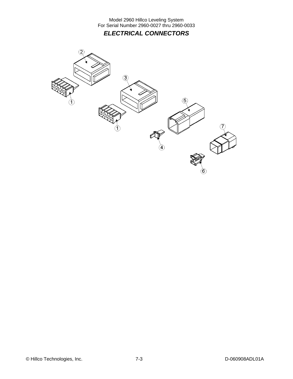Model 2960 Hillco Leveling System For Serial Number 2960-0027 thru 2960-0033 *ELECTRICAL CONNECTORS* 

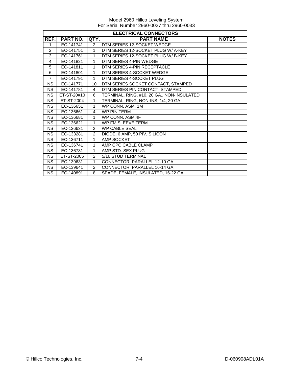|                | <b>ELECTRICAL CONNECTORS</b> |                |                                            |              |  |  |
|----------------|------------------------------|----------------|--------------------------------------------|--------------|--|--|
| REF.           | PART NO.                     | QTY.           | <b>PART NAME</b>                           | <b>NOTES</b> |  |  |
| 1              | EC-141741                    | $\overline{2}$ | DTM SERIES 12-SOCKET WEDGE                 |              |  |  |
| 2              | EC-141751                    | $\mathbf{1}$   | DTM SERIES 12-SOCKET PLUG W/ A-KEY         |              |  |  |
| 3              | EC-141761                    | $\mathbf{1}$   | DTM SERIES 12-SOCKET PLUG W/B-KEY          |              |  |  |
| 4              | EC-141821                    | 1              | DTM SERIES 4-PIN WEDGE                     |              |  |  |
| 5              | EC-141811                    | 1              | DTM SERIES 4-PIN RECEPTACLE                |              |  |  |
| 6              | EC-141801                    | 1              | DTM SERIES 4-SOCKET WEDGE                  |              |  |  |
| $\overline{7}$ | EC-141791                    | $\mathbf{1}$   | DTM SERIES 4-SOCKET PLUG                   |              |  |  |
| <b>NS</b>      | EC-141771                    | 10             | DTM SERIES SOCKET CONTACT, STAMPED         |              |  |  |
| <b>NS</b>      | EC-141781                    | $\overline{4}$ | DTM SERIES PIN CONTACT, STAMPED            |              |  |  |
| <b>NS</b>      | ET-ST-20#10                  | 6              | TERMINAL, RING, #10, 20 GA., NON-INSULATED |              |  |  |
| <b>NS</b>      | ET-ST-2004                   | $\mathbf{1}$   | TERMINAL, RING, NON-INS, 1/4, 20 GA        |              |  |  |
| <b>NS</b>      | EC-136651                    | $\mathbf{1}$   | WP CONN. ASM. 1M                           |              |  |  |
| <b>NS</b>      | EC-136661                    | $\overline{4}$ | <b>WP PIN TERM</b>                         |              |  |  |
| <b>NS</b>      | EC-136681                    | $\mathbf{1}$   | WP CONN. ASM.4F                            |              |  |  |
| <b>NS</b>      | EC-136621                    | $\mathbf{1}$   | WP FM SLEEVE TERM                          |              |  |  |
| <b>NS</b>      | EC-136631                    | 2              | <b>WP CABLE SEAL</b>                       |              |  |  |
| <b>NS</b>      | EC-133281                    | $\overline{2}$ | DIODE, 6 AMP, 50 PIV, SILICON              |              |  |  |
| <b>NS</b>      | EC-136711                    | $\mathbf{1}$   | AMP SOCKET                                 |              |  |  |
| <b>NS</b>      | EC-136741                    | $\mathbf{1}$   | AMP CPC CABLE CLAMP                        |              |  |  |
| <b>NS</b>      | EC-136731                    | $\mathbf{1}$   | AMP STD. SEX PLUG                          |              |  |  |
| <b>NS</b>      | ET-ST-2005                   | 2              | 5/16 STUD TERMINAL                         |              |  |  |
| <b>NS</b>      | EC-139631                    | $\mathbf{1}$   | CONNECTOR, PARALLEL 12-10 GA               |              |  |  |
| <b>NS</b>      | EC-139641                    | 2              | CONNECTOR, PARALLEL 16-14 GA               |              |  |  |
| <b>NS</b>      | EC-140891                    | 8              | SPADE, FEMALE, INSULATED, 16-22 GA         |              |  |  |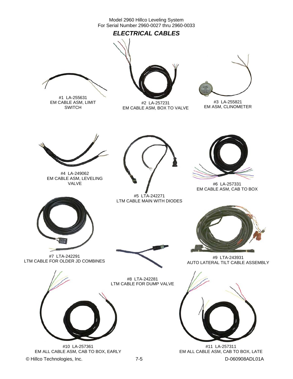### *ELECTRICAL CABLES*



#1 LA-255631 EM CABLE ASM, LIMIT SWITCH



#2 LA-257231 EM CABLE ASM, BOX TO VALVE



#3 LA-255821 EM ASM, CLINOMETER



#4 LA-249062 EM CABLE ASM, LEVELING VALVE



#5 LTA-242271 LTM CABLE MAIN WITH DIODES



#6 LA-257331 EM CABLE ASM, CAB TO BOX



#7 LTA-242291 LTM CABLE FOR OLDER JD COMBINES



#8 LTA-242281 LTM CABLE FOR DUMP VALVE



© Hillco Technologies, Inc. 2008 2009 7-5 D-060908ADL01A #10 LA-257361 EM ALL CABLE ASM, CAB TO BOX, EARLY



#9 LTA-243931 AUTO LATERAL TILT CABLE ASSEMBLY



#11 LA-257311 EM ALL CABLE ASM, CAB TO BOX, LATE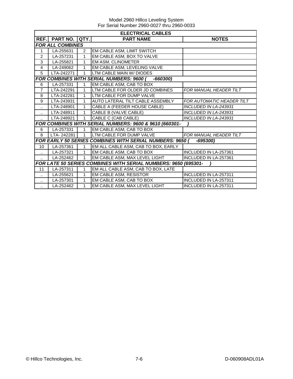| <b>ELECTRICAL CABLES</b> |                         |              |                                                                 |                              |  |  |  |  |  |
|--------------------------|-------------------------|--------------|-----------------------------------------------------------------|------------------------------|--|--|--|--|--|
| REF.                     | <b>PART NO.</b>         | QTY.         | <b>PART NAME</b>                                                | <b>NOTES</b>                 |  |  |  |  |  |
|                          | <b>FOR ALL COMBINES</b> |              |                                                                 |                              |  |  |  |  |  |
|                          | LA-255631               | 2            | EM CABLE ASM, LIMIT SWITCH                                      |                              |  |  |  |  |  |
| 2                        | LA-257231               | 1            | EM CABLE ASM, BOX TO VALVE                                      |                              |  |  |  |  |  |
| 3                        | LA-255821               | 1            | EM ASM, CLINOMETER                                              |                              |  |  |  |  |  |
| 4                        | LA-249062               | 1            | EM CABLE ASM, LEVELING VALVE                                    |                              |  |  |  |  |  |
| 5                        | LTA-242271              | 1            | LTM CABLE MAIN W/ DIODES                                        |                              |  |  |  |  |  |
|                          |                         |              | <b>FOR COMBINES WITH SERIAL NUMBERS: 9600 (</b><br>$-660300$    |                              |  |  |  |  |  |
| 6                        | LA-257331               |              | EM CABLE ASM, CAB TO BOX                                        |                              |  |  |  |  |  |
| $\overline{7}$           | LTA-242291              | 1            | LTM CABLE FOR OLDER JD COMBINES                                 | FOR MANUAL HEADER TILT       |  |  |  |  |  |
| 8                        | LTA-242281              |              | LTM CABLE FOR DUMP VALVE                                        |                              |  |  |  |  |  |
| 9                        | LTA-243931              | 1            | AUTO LATERAL TILT CABLE ASSEMBLY                                | FOR AUTOMATIC HEADER TILT    |  |  |  |  |  |
| $\ddotsc$                | LTA-248901              | $\mathbf{1}$ | CABLE A (FEEDER HOUSE CABLE)                                    | <b>INCLUDED IN LA-243931</b> |  |  |  |  |  |
| $\ddot{\phantom{a}}$     | LTA-248911              | 1            | CABLE B (VALVE CABLE)                                           | <b>INCLUDED IN LA-243931</b> |  |  |  |  |  |
| ٠.                       | LTA-248921              | $\mathbf{1}$ | <b>CABLE C (CAB CABLE)</b>                                      | <b>INCLUDED IN LA-243931</b> |  |  |  |  |  |
|                          |                         |              | FOR COMBINES WITH SERIAL NUMBERS: 9600 & 9610 (660301-          |                              |  |  |  |  |  |
| 6                        | LA-257331               |              | EM CABLE ASM, CAB TO BOX                                        |                              |  |  |  |  |  |
| 8                        | LTA-242281              | $\mathbf{1}$ | LTM CABLE FOR DUMP VALVE                                        | FOR MANUAL HEADER TILT       |  |  |  |  |  |
|                          |                         |              | <b>FOR EARLY 50 SERIES COMBINES WITH SERIAL NUMBERS: 9650 (</b> | -695300)                     |  |  |  |  |  |
| 10                       | LA-257361               | 1            | EM ALL CABLE ASM, CAB TO BOX, EARLY                             |                              |  |  |  |  |  |
| $\ddotsc$                | LA-257321               | $\mathbf{1}$ | EM CABLE ASM, CAB TO BOX                                        | INCLUDED IN LA-257361        |  |  |  |  |  |
| $\ddotsc$                | LA-252462               | 1            | EM CABLE ASM, MAX LEVEL LIGHT                                   | INCLUDED IN LA-257361        |  |  |  |  |  |
|                          |                         |              | FOR LATE 50 SERIES COMBINES WITH SERIAL NUMBERS: 9650 (695301-  |                              |  |  |  |  |  |
| 11                       | LA-257311               | 1            | EM ALL CABLE ASM, CAB TO BOX, LATE                              |                              |  |  |  |  |  |
|                          | LA-255621               | 1            | EM CABLE ASM, RESISTOR                                          | INCLUDED IN LA-257311        |  |  |  |  |  |
| $\ddot{\phantom{a}}$     | LA-257301               | 1            | EM CABLE ASM, CAB TO BOX                                        | <b>INCLUDED IN LA-257311</b> |  |  |  |  |  |
| $\ddotsc$                | LA-252462               | $\mathbf{1}$ | EM CABLE ASM, MAX LEVEL LIGHT                                   | INCLUDED IN LA-257311        |  |  |  |  |  |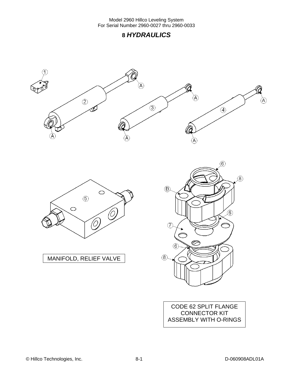





MANIFOLD, RELIEF VALVE



CODE 62 SPLIT FLANGE CONNECTOR KIT ASSEMBLY WITH O-RINGS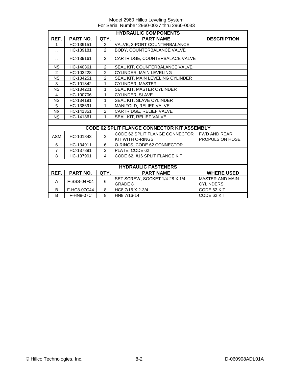|                      | <b>HYDRAULIC COMPONENTS</b> |                |                                                    |                        |  |
|----------------------|-----------------------------|----------------|----------------------------------------------------|------------------------|--|
| REF.                 | <b>PART NO.</b>             | QTY.           | <b>PART NAME</b>                                   | <b>DESCRIPTION</b>     |  |
| 1                    | $\overline{HC}$ -139151     | $\overline{2}$ | VALVE, 3-PORT COUNTERBALANCE                       |                        |  |
|                      | HC-139181                   | $\overline{2}$ | BODY, COUNTERBALANCE VALVE                         |                        |  |
| $\ddot{\phantom{a}}$ | HC-139161                   | $\overline{2}$ | CARTRIDGE, COUNTERBALACE VALVE                     |                        |  |
| <b>NS</b>            | HC-140361                   | $\overline{2}$ | SEAL KIT, COUNTERBALANCE VALVE                     |                        |  |
| $\overline{2}$       | HC-103228                   | $\overline{2}$ | CYLINDER, MAIN LEVELING                            |                        |  |
| <b>NS</b>            | HC-134251                   | $\overline{2}$ | SEAL KIT, MAIN LEVELING CYLINDER                   |                        |  |
| 3                    | HC-101842                   | 1              | <b>CYLINDER, MASTER</b>                            |                        |  |
| <b>NS</b>            | HC-134201                   | 1              | SEAL KIT, MASTER CYLINDER                          |                        |  |
| 4                    | HC-100706                   | 1              | CYLINDER, SLAVE                                    |                        |  |
| <b>NS</b>            | HC-134191                   | 1              | SEAL KIT, SLAVE CYLINDER                           |                        |  |
| 5                    | HC-138691                   | 1              | MANIFOLD, RELIEF VALVE                             |                        |  |
| <b>NS</b>            | HC-141351                   | $\overline{c}$ | CARTRIDGE, RELIEF VALVE                            |                        |  |
| <b>NS</b>            | HC-141361                   | 1              | SEAL KIT, RELIEF VALVE                             |                        |  |
|                      |                             |                |                                                    |                        |  |
|                      |                             |                | <b>CODE 62 SPLIT FLANGE CONNECTOR KIT ASSEMBLY</b> |                        |  |
| <b>ASM</b>           | HC-101843                   | $\overline{2}$ | CODE 62 SPLIT FLANGE CONNECTOR                     | <b>IFWD AND REAR</b>   |  |
|                      |                             |                | <b>KIT WITH O-RINGS</b>                            | PROPULSION HOSE        |  |
| 6                    | HC-134911                   | 6              | O-RINGS, CODE 62 CONNECTOR                         |                        |  |
| $\overline{7}$       | HC-137891                   | $\overline{2}$ | PLATE, CODE 62                                     |                        |  |
| 8                    | HC-137901                   | 4              | CODE 62, #16 SPLIT FLANGE KIT                      |                        |  |
|                      |                             |                |                                                    |                        |  |
|                      |                             |                | <b>HYDRAULIC FASTENERS</b>                         |                        |  |
| REF.                 | PART NO.                    | QTY.           | <b>PART NAME</b>                                   | <b>WHERE USED</b>      |  |
| A                    | F-SSS-04F04                 | 6              | SET SCREW, SOCKET 1/4-28 X 1/4,                    | <b>MASTER AND MAIN</b> |  |
|                      |                             |                | <b>GRADE 8</b>                                     | <b>CYLINDERS</b>       |  |
| B                    | F-HC8-07C44                 | 8              | HC8 7/16 X 2-3/4                                   | CODE 62 KIT            |  |
| B                    | <b>F-HN8-07C</b>            | 8              | HN8 7/16-14                                        | CODE 62 KIT            |  |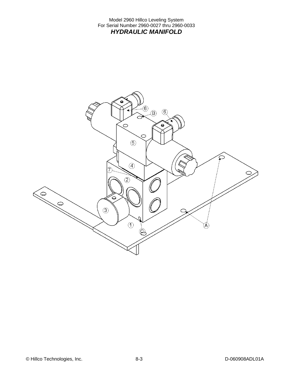Model 2960 Hillco Leveling System For Serial Number 2960-0027 thru 2960-0033 *HYDRAULIC MANIFOLD* 

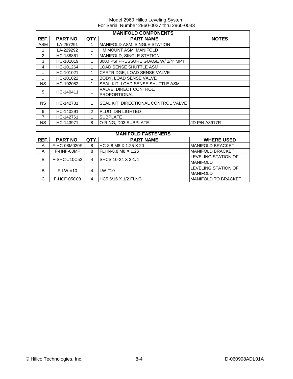| <b>MANIFOLD COMPONENTS</b> |                 |                |                                     |                                               |  |
|----------------------------|-----------------|----------------|-------------------------------------|-----------------------------------------------|--|
| REF.                       | <b>PART NO.</b> | QTY.           | <b>PART NAME</b>                    | <b>NOTES</b>                                  |  |
| <b>ASM</b>                 | LA-257291       | 1              | MANIFOLD ASM, SINGLE STATION        |                                               |  |
| 1                          | LA-229292       | $\mathbf{1}$   | HM MOUNT ASM, MANIFOLD              |                                               |  |
| 2                          | HC-138861       | 1              | MANIFOLD, SINGLE STATION            |                                               |  |
| 3                          | HC-101019       | 1              | 3000 PSI PRESSURE GUAGE W/ 1/4" MPT |                                               |  |
| 4                          | HC-101264       | 1              | <b>LOAD SENSE SHUTTLE ASM</b>       |                                               |  |
| $\ddot{\phantom{a}}$       | HC-101021       | 1              | CARTRIDGE, LOAD SENSE VALVE         |                                               |  |
| $\ddot{\phantom{1}}$       | HC-101022       | $\mathbf{1}$   | BODY, LOAD SENSE VALVE              |                                               |  |
| <b>NS</b>                  | HC-102082       | 1              | SEAL KIT, LOAD SENSE SHUTTLE ASM    |                                               |  |
| 5                          | HC-140411       | $\mathbf{1}$   | VALVE, DIRECT CONTROL,              |                                               |  |
|                            |                 |                | <b>PROPORTIONAL</b>                 |                                               |  |
| <b>NS</b>                  | HC-142731       | $\mathbf 1$    | SEAL KIT, DIRECTIONAL CONTROL VALVE |                                               |  |
| 6                          | HC-140291       | $\overline{2}$ | PLUG, DIN LIGHTED                   |                                               |  |
| $\overline{7}$             | HC-142761       | $\mathbf{1}$   | <b>SUBPLATE</b>                     |                                               |  |
| <b>NS</b>                  | HC-143971       | 8              | O-RING, D03 SUBPLATE                | <b>JD P/N A3917R</b>                          |  |
|                            |                 |                |                                     |                                               |  |
|                            |                 |                | <b>MANIFOLD FASTENERS</b>           |                                               |  |
| REF.                       | PART NO.        | QTY.           | <b>PART NAME</b>                    | <b>WHERE USED</b>                             |  |
| A                          | F-HC-08M020F    | 8              | HC-8.8 M8 X 1.25 X 20               | <b>MANIFOLD BRACKET</b>                       |  |
| A                          | F-HNF-08MF      | 8              | FLHN-8.8 M8 X 1.25                  | <b>MANIFOLD BRACKET</b>                       |  |
| B                          | F-SHC-#10C52    | 4              | ISHCS 10-24 X 3-1/4                 | <b>LEVELING STATION OF</b>                    |  |
|                            |                 |                |                                     | <b>MANIFOLD</b><br><b>LEVELING STATION OF</b> |  |
| B                          | $F-LW-#10$      | 4              | $LW$ #10                            | <b>MANIFOLD</b>                               |  |

C | F-HCF-05C08 | 4 |HC5 5/16 X 1/2 FLNG |MANIFOLD TO BRACKET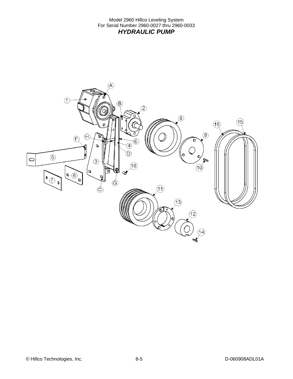Model 2960 Hillco Leveling System For Serial Number 2960-0027 thru 2960-0033 *HYDRAULIC PUMP* 

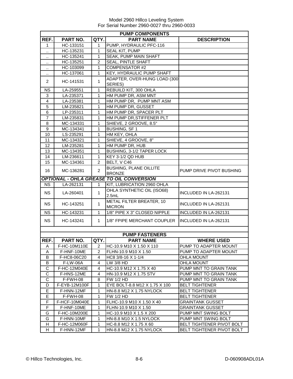| <b>PUMP COMPONENTS</b>  |               |                |                                                 |                                  |  |
|-------------------------|---------------|----------------|-------------------------------------------------|----------------------------------|--|
| REF.                    | PART NO.      | QTY.           | <b>PART NAME</b>                                | <b>DESCRIPTION</b>               |  |
| 1                       | HC-133151     | 1              | PUMP, HYDRAULIC PFC-116                         |                                  |  |
| Ω.                      | HC-135231     | 1              | SEAL KIT, PUMP                                  |                                  |  |
|                         | HC-135241     | 1              | <b>SEAK, PUMP MAIN SHAFT</b>                    |                                  |  |
|                         | HC-135251     | $\overline{2}$ | <b>SEAL, PINTLE SHAFT</b>                       |                                  |  |
|                         | HC-103099     | 1              | <b>COMPENSATOR #2</b>                           |                                  |  |
|                         | HC-137061     | 1              | KEY, HYDRAULIC PUMP SHAFT                       |                                  |  |
|                         |               |                | ADAPTER, OVER-HUNG LOAD (300                    |                                  |  |
| 2                       | HC-141531     | $\mathbf{1}$   | SERIES)                                         |                                  |  |
| <b>NS</b>               | LA-259551     | $\mathbf{1}$   | REBUILD KIT, 300 OHLA                           |                                  |  |
| 3                       | LA-235371     | 1              | HM PUMP DR, ASM MNT                             |                                  |  |
| $\overline{\mathbf{4}}$ | LA-235381     | 1              | HM PUMP DR, PUMP MNT ASM                        |                                  |  |
| 5                       | LM-235821     | 1              | HM PUMP DR, GUSSET                              |                                  |  |
| 6                       | LP-235311     | $\mathbf{1}$   | HM PUMP DR, SPACER PLT                          |                                  |  |
| $\overline{7}$          | LM-235831     | 1.             | HM PUMP DR, STIFFENER PLT                       |                                  |  |
| 8                       | MC-134331     | 1              | SHIEVE, 2 GROOVE, 8.5"                          |                                  |  |
| 9                       | MC-134341     | 1              | <b>BUSHING, SF1</b>                             |                                  |  |
| 10                      | LS-235291     | $\mathbf{1}$   | HM KEY, OHLA                                    |                                  |  |
| 11                      | MC-134321     | 1              | SHIEVE, 4 GROOVE, 8"                            |                                  |  |
| 12                      | LM-235281     | 1              | HM PUMP DR, HUB                                 |                                  |  |
| 13                      | MC-134351     | 1              | BUSHING, 3-1/2 TAPER LOCK                       |                                  |  |
| 14                      | LM-236611     | 1              | KEY 3-1/2 QD HUB                                |                                  |  |
| 15                      | MC-134361     | $\overline{2}$ | BELT, V C46                                     |                                  |  |
|                         |               |                | <b>BUSHING, PLANE OILLITE</b>                   |                                  |  |
| 16                      | MC-136281     | $\overline{2}$ | <b>BRONZE</b>                                   | PUMP DRIVE PIVOT BUSHING         |  |
|                         |               |                | <b>OPTIONAL - OHLA GREASE TO OIL CONVERSION</b> |                                  |  |
| <b>NS</b>               | LA-262131     | $\mathbf{1}$   | KIT, LUBRICATION 2960 OHLA                      |                                  |  |
| <b>NS</b>               | LA-260401     | $\mathbf 1$    | OHLA SYNTHETIC OIL (ISO68)                      | <b>INCLUDED IN LA-262131</b>     |  |
|                         |               |                | 2.5mL                                           |                                  |  |
| <b>NS</b>               | HC-143251     | 1              | METAL FILTER BREATER, 10                        | INCLUDED IN LA-262131            |  |
|                         |               |                | <b>MICRON</b>                                   |                                  |  |
| <b>NS</b>               | HC-143231     | 1.             | 1/8" PIPE X 3" CLOSED NIPPLE                    | INCLUDED IN LA-262131            |  |
| <b>NS</b>               | HC-143241     | $\mathbf 1$    | 1/8" FPIPE MERCHANT COUPLER                     | INCLUDED IN LA-262131            |  |
|                         |               |                |                                                 |                                  |  |
|                         |               |                |                                                 |                                  |  |
|                         |               |                | <b>PUMP FASTENERS</b>                           |                                  |  |
| REF.                    | PART NO.      | QTY.           | <b>PART NAME</b>                                | <b>WHERE USED</b>                |  |
| A                       | F-HC-10M110E  | 2              | HC-10.9 M10 X 1.50 X 110                        | PUMP TO ADAPTER MOUNT            |  |
| A                       | F-HNF-10ME    | 2              | FLHN-10.9 M10 X 1.50                            | PUMP TO ADAPTER MOUNT            |  |
| B                       | F-HC8-06C20   | 4              | HC8 3/8-16 X 1-1/4                              | <b>OHLA MOUNT</b>                |  |
| B                       | F-LW-06A      | 4              | LW 3/8 HD                                       | <b>OHLA MOUNT</b>                |  |
| С                       | F-HC-12M040E  | 4              | HC-10.9 M12 X 1.75 X 40                         | PUMP MNT TO GRAIN TANK           |  |
| C                       | F-HNS-12ME    | 4              | HN-10.9 M12 X 1.75 STV                          | PUMP MNT TO GRAIN TANK           |  |
| C                       | F-FWH-08      | 8              | <b>FW 1/2 HD</b>                                | PUMP MNT TO GRAIN TANK           |  |
| D                       | F-EYB-12M100F | $\mathbf{1}$   | EYE BOLT-8.8 M12 X 1.75 X 100                   | <b>BELT TIGHTENER</b>            |  |
| Е                       | F-HNN-12MF    | 1              | HN-8.8 M12 X 1.75 NYLOCK                        | <b>BELT TIGHTENER</b>            |  |
| E.                      | F-FWH-08      | 1              | FW 1/2 HD                                       | <b>BELT TIGHTENER</b>            |  |
| F                       | F-HCF-10M040E | 1              | FLHC-10.9 M10 X 1.50 X 40                       | <b>GRAINTANK GUSSET</b>          |  |
| F                       | F-HNF-10ME    | 1              | FLHN-10.9 M10 X 1.50                            | <b>GRAINTANK GUSSET</b>          |  |
| G                       | F-HC-10M200E  | 1              | HC-10.9 M10 X 1.5 X 200                         | PUMP MNT SWING BOLT              |  |
| G                       | F-HNN-10MF    | 1              | HN-8.8 M10 X 1.5 NYLOCK                         | PUMP MNT SWING BOLT              |  |
| H                       | F-HC-12M060F  | 1              | HC-8.8 M12 X 1.75 X 60                          | <b>BELT TIGHTENER PIVOT BOLT</b> |  |
| н                       | F-HNN-12MF    | 1              | HN-8.8 M12 X 1.75 NYLOCK                        | BELT TIGHTENER PIVOT BOLT        |  |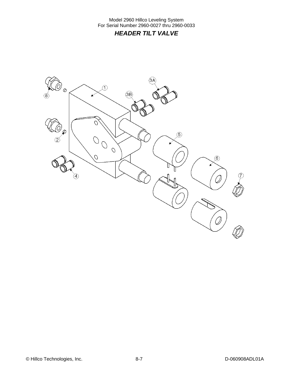Model 2960 Hillco Leveling System For Serial Number 2960-0027 thru 2960-0033 *HEADER TILT VALVE* 

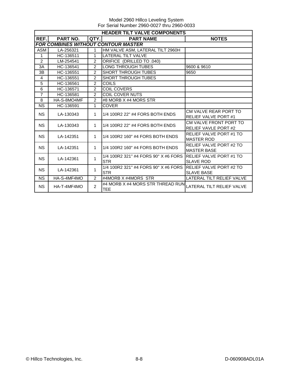|                | <b>HEADER TILT VALVE COMPONENTS</b>        |                |                                                    |                                                       |  |  |  |
|----------------|--------------------------------------------|----------------|----------------------------------------------------|-------------------------------------------------------|--|--|--|
| REF.           | <b>PART NO.</b>                            | QTY.           | <b>PART NAME</b>                                   | <b>NOTES</b>                                          |  |  |  |
|                | <b>FOR COMBINES WITHOUT CONTOUR MASTER</b> |                |                                                    |                                                       |  |  |  |
| <b>ASM</b>     | LA-256321                                  | 1              | HM VALVE ASM, LATERAL TILT 2960H                   |                                                       |  |  |  |
| 1              | HC-136511                                  | 1              | <b>LATERAL TILT VALVE</b>                          |                                                       |  |  |  |
| $\overline{2}$ | LM-254541                                  | $\mathfrak{p}$ | ORIFICE (DRILLED TO .040)                          |                                                       |  |  |  |
| 3A             | HC-136541                                  | 2              | <b>LONG THROUGH TUBES</b>                          | 9600 & 9610                                           |  |  |  |
| 3B             | HC-136551                                  | $\mathfrak{p}$ | <b>SHORT THROUGH TUBES</b>                         | 9650                                                  |  |  |  |
| 4              | HC-136551                                  | $\mathcal{P}$  | <b>SHORT THROUGH TUBES</b>                         |                                                       |  |  |  |
| 5              | HC-136561                                  | $\overline{2}$ | <b>COILS</b>                                       |                                                       |  |  |  |
| 6              | HC-136571                                  | 2              | COIL COVERS                                        |                                                       |  |  |  |
| $\overline{7}$ | HC-136581                                  | $\mathfrak{p}$ | COIL COVER NUTS                                    |                                                       |  |  |  |
| 8              | HA-S-8MO4MF                                | $\overline{2}$ | #8 MORB X #4 MORS STR                              |                                                       |  |  |  |
| <b>NS</b>      | HC-136591                                  | $\mathbf{1}$   | <b>COVER</b>                                       |                                                       |  |  |  |
| <b>NS</b>      | LA-130343                                  | $\mathbf{1}$   | 1/4 100R2 22" #4 FORS BOTH ENDS                    | CM VALVE REAR PORT TO<br><b>RELIEF VALVE PORT#1</b>   |  |  |  |
| <b>NS</b>      | LA-130343                                  | $\mathbf{1}$   | 1/4 100R2 22" #4 FORS BOTH ENDS                    | CM VALVE FRONT PORT TO<br><b>RELIEF VAVLE PORT #2</b> |  |  |  |
| <b>NS</b>      | LA-142351                                  | $\mathbf{1}$   | 1/4 100R2 160" #4 FORS BOTH ENDS                   | RELIEF VALVE PORT #1 TO<br><b>MASTER ROD</b>          |  |  |  |
| <b>NS</b>      | LA-142351                                  | $\mathbf{1}$   | 1/4 100R2 160" #4 FORS BOTH ENDS                   | RELIEF VALVE PORT #2 TO<br><b>MASTER BASE</b>         |  |  |  |
| <b>NS</b>      | LA-142361                                  | $\mathbf{1}$   | 1/4 100R2 321" #4 FORS 90° X #6 FORS<br><b>STR</b> | <b>RELIEF VALVE PORT #1 TO</b><br><b>SLAVE ROD</b>    |  |  |  |
| <b>NS</b>      | LA-142361                                  | $\mathbf{1}$   | 1/4 100R2 321" #4 FORS 90° X #6 FORS<br><b>STR</b> | <b>IRELIEF VALVE PORT #2 TO</b><br><b>SLAVE BASE</b>  |  |  |  |
| <b>NS</b>      | HA-S-4MF4MO                                | 2              | #4MORB X #4MORS STR                                | <b>LATERAL TILT RELIEF VALVE</b>                      |  |  |  |
| <b>NS</b>      | HA-T-4MF4MO                                | $\overline{2}$ | #4 MORB X #4 MORS STR THREAD RUN<br><b>TEE</b>     | LATERAL TILT RELIEF VALVE                             |  |  |  |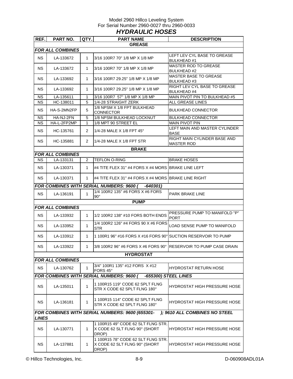#### Model 2960 Hillco Leveling System For Serial Number 2960-0027 thru 2960-0033 *HYDRAULIC HOSES*

| REF.         | <b>PART NO.</b>         | QTY.           | <b>PART NAME</b>                                                             | <b>DESCRIPTION</b>                                 |
|--------------|-------------------------|----------------|------------------------------------------------------------------------------|----------------------------------------------------|
|              |                         |                | <b>GREASE</b>                                                                |                                                    |
|              | <b>FOR ALL COMBINES</b> |                |                                                                              |                                                    |
| <b>NS</b>    | LA-133672               | $\mathbf{1}$   | 3/16 100R7 70" 1/8 MP X 1/8 MP                                               | LEFT LEV CYL BASE TO GREASE<br><b>BULKHEAD#1</b>   |
| NS.          | LA-133672               | 1              | 3/16 100R7 70" 1/8 MP X 1/8 MP                                               | <b>MASTER ROD TO GREASE</b><br><b>BULKHEAD #2</b>  |
| NS.          | LA-133692               | 1              | 3/16 100R7 29.25" 1/8 MP X 1/8 MP                                            | <b>MASTER BASE TO GREASE</b><br>BULKHEAD #3        |
| NS.          | LA-133692               | 1              | 3/16 100R7 29.25" 1/8 MP X 1/8 MP                                            | RIGHT LEV CYL BASE TO GREASE<br><b>BULKHEAD #4</b> |
| ΝS           | LA-135611               | 1              | 3/16 100R7 57" 1/8 MP X 1/8 MP                                               | MAIN PIVOT PIN TO BULKHEAD #5                      |
| <b>NS</b>    | HC-138011               | 5              | 1/4-28 STRAIGHT ZERK                                                         | <b>ALL GREASE LINES</b>                            |
| NS.          | HA-S-2MN2FP             | 5              | 1/8 NPSM X 1/8 FPT BULKHEAD<br><b>CONNECTOR</b>                              | <b>BULKHEAD CONNECTOR</b>                          |
| <b>NS</b>    | HA-NJ-2FN               | 5              | 1/8 NPSM BULKHEAD LOCKNUT                                                    | <b>BULKHEAD CONNECTOR</b>                          |
| ΝS           | HA-L-2FP2MP             | 1              | 1/8 MPT 90 STREET EL                                                         | MAIN PIVOT PIN                                     |
| NS.          | HC-135761               | $\overline{2}$ | 1/4-28 MALE X 1/8 FPT 45 $^{\circ}$                                          | LEFT MAIN AND MASTER CYLINDER<br>BASE              |
| NS.          | HC-135881               | $\overline{2}$ | 1/4-28 MALE X 1/8 FPT STR                                                    | RIGHT MAIN CYLINDER BASE AND<br><b>MASTER ROD</b>  |
|              |                         |                | <b>BRAKE</b>                                                                 |                                                    |
|              | <b>FOR ALL COMBINES</b> |                |                                                                              |                                                    |
| NS.          | LA-133131               | 2              | <b>TEFLON O-RING</b>                                                         | <b>BRAKE HOSES</b>                                 |
| NS.          | LA-130371               | $\mathbf{1}$   | #4 TITE FLEX 31" #4 FORS X #4 MORS BRAKE LINE LEFT                           |                                                    |
| NS.          | LA-130371               | $\mathbf{1}$   | #4 TITE FLEX 31" #4 FORS X #4 MORS BRAKE LINE RIGHT                          |                                                    |
|              |                         |                | FOR COMBINES WITH SERIAL NUMBERS: 9600 ( -640301)                            |                                                    |
| NS.          | LA-136191               | $\mathbf{1}$   | 1/4 100R2 135" #6 FORS X #6 FORS<br>$90^\circ$                               | PARK BRAKE LINE                                    |
|              |                         |                | <b>PUMP</b>                                                                  |                                                    |
|              | <b>FOR ALL COMBINES</b> |                |                                                                              |                                                    |
| NS.          | LA-133932               | 1              | 1/2 100R2 138" #10 FORS BOTH ENDS                                            | PRESSURE PUMP TO MANIFOLD "P"<br><b>PORT</b>       |
| NS.          | LA-133952               | $\mathbf{1}$   | 1/4 100R2 126" #4 FORS 90 X #6 FORS<br>STR                                   | LOAD SENSE PUMP TO MANIFOLD                        |
| NS.          | LA-133912               | $\mathbf 1$    | 1 100R1 96" #16 FORS X #16 FORS 90° SUCTION RESERVOIR TO PUMP                |                                                    |
| <b>NS</b>    | LA-133922               | 1              | 3/8 100R2 96" #6 FORS X #6 FORS 90° IRESERVOIR TO PUMP CASE DRAIN            |                                                    |
|              |                         |                | <b>HYDROSTAT</b>                                                             |                                                    |
|              | <b>FOR ALL COMBINES</b> |                |                                                                              |                                                    |
| <b>NS</b>    | LA-130762               | $\mathbf{1}$   | 3/4" 100R1 135" #12 FORS X #12<br>FORS 45°                                   | HYDROSTAT RETURN HOSE                              |
|              |                         |                | <b>FOR COMBINES WITH SERIAL NUMBERS: 9600 (</b>                              | -655300) STEEL LINES                               |
| <b>NS</b>    | LA-135011               | 1              | 1 100R15 119" CODE 62 SPLT FLNG<br>STR X CODE 62 SPLT FLNG 180°              | HYDROSTAT HIGH PRESSURE HOSE                       |
| <b>NS</b>    | LA-136181               | 1              | 1 100R15 114" CODE 62 SPLT FLNG<br>STR X CODE 62 SPLT FLNG 180°              | HYDROSTAT HIGH PRESSURE HOSE                       |
| <b>LINES</b> |                         |                | FOR COMBINES WITH SERIAL NUMBERS: 9600 (655301-                              | ); 9610 ALL COMBINES NO STEEL                      |
| <b>NS</b>    | LA-130771               | 1              | 1 100R15 49" CODE 62 SLT FLNG STR.<br>X CODE 62 SLT FLNG 90° (SHORT          | HYDROSTAT HIGH PRESSURE HOSE                       |
| <b>NS</b>    | LA-137881               | 1              | DROP)<br>1 100R15 78" CODE 62 SLT FLNG STR.<br>X CODE 62 SLT FLNG 90° (SHORT | HYDROSTAT HIGH PRESSURE HOSE                       |
|              |                         |                | DROP)                                                                        |                                                    |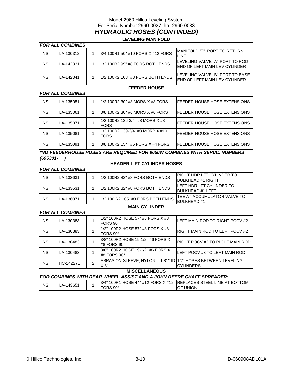#### Model 2960 Hillco Leveling System For Serial Number 2960-0027 thru 2960-0033 *HYDRAULIC HOSES (CONTINUED)*

|           | <b>LEVELING MANIFOLD</b> |                |                                                                              |                                                                        |  |  |
|-----------|--------------------------|----------------|------------------------------------------------------------------------------|------------------------------------------------------------------------|--|--|
|           | <b>FOR ALL COMBINES</b>  |                |                                                                              |                                                                        |  |  |
| NS.       | LA-130312                | $\mathbf 1$    | 3/4 100R1 50" #10 FORS X #12 FORS                                            | MANIFOLD "T" PORT TO RETURN<br><b>LINE</b>                             |  |  |
| <b>NS</b> | LA-142331                | $\mathbf{1}$   | 1/2 100R2 99" #8 FORS BOTH ENDS                                              | LEVELING VALVE "A" PORT TO ROD<br><b>END OF LEFT MAIN LEV CYLINDER</b> |  |  |
| <b>NS</b> | LA-142341                | $\mathbf{1}$   | 1/2 100R2 108" #8 FORS BOTH ENDS                                             | LEVELING VALVE "B" PORT TO BASE<br>END OF LEFT MAIN LEV CYLINDER       |  |  |
|           |                          |                | <b>FEEDER HOUSE</b>                                                          |                                                                        |  |  |
|           | <b>FOR ALL COMBINES</b>  |                |                                                                              |                                                                        |  |  |
| <b>NS</b> | LA-135051                | 1              | 1/2 100R2 30" #8 MORS X #8 FORS                                              | FEEDER HOUSE HOSE EXTENSIONS                                           |  |  |
| NS.       | LA-135061                | $\mathbf 1$    | 3/8 100R2 30" #6 MORS X #6 FORS                                              | FEEDER HOUSE HOSE EXTENSIONS                                           |  |  |
| NS.       | LA-135071                | $\mathbf 1$    | 1/2 100R2 136-3/4" #8 MORB X #8<br><b>FORS</b>                               | FEEDER HOUSE HOSE EXTENSIONS                                           |  |  |
| <b>NS</b> | LA-135081                | 1              | 1/2 100R2 139-3/4" #8 MORB X #10<br>FORS                                     | FEEDER HOUSE HOSE EXTENSIONS                                           |  |  |
| NS.       | LA-135091                | $\mathbf 1$    | 3/8 100R2 154" #6 FORS X #4 FORS                                             | <b>FEEDER HOUSE HOSE EXTENSIONS</b>                                    |  |  |
| (695301-  |                          |                | *NO FEEDERHOUSE HOSES ARE REQUIRED FOR 9650W COMBINES WITH SERIAL NUMBERS    |                                                                        |  |  |
|           |                          |                | <b>HEADER LIFT CYLINDER HOSES</b>                                            |                                                                        |  |  |
|           | <b>FOR ALL COMBINES</b>  |                |                                                                              |                                                                        |  |  |
| <b>NS</b> | LA-133631                | $\mathbf{1}$   | 1/2 100R2 82" #8 FORS BOTH ENDS                                              | RIGHT HDR LFT CYLINDER TO<br><b>BULKHEAD #1 RIGHT</b>                  |  |  |
| NS.       | LA-133631                | 1              | 1/2 100R2 82" #8 FORS BOTH ENDS                                              | LEFT HDR LFT CYLINDER TO<br><b>BULKHEAD #1 LEFT</b>                    |  |  |
| <b>NS</b> | LA-136071                | $\mathbf 1$    | 1/2 100 R2 105" #8 FORS BOTH ENDS                                            | TEE AT ACCUMULATOR VALVE TO<br><b>BULKHEAD #1</b>                      |  |  |
|           |                          |                | <b>MAIN CYLINDER</b>                                                         |                                                                        |  |  |
|           | <b>FOR ALL COMBINES</b>  |                |                                                                              |                                                                        |  |  |
| <b>NS</b> | LA-130383                | $\mathbf{1}$   | 1/2" 100R2 HOSE 57" #8 FORS X #8<br>FORS 90°                                 | LEFT MAIN ROD TO RIGHT POCV #2                                         |  |  |
| NS.       | LA-130383                | $\mathbf 1$    | 1/2" 100R2 HOSE 57" #8 FORS X #8<br>FORS 90°                                 | RIGHT MAIN ROD TO LEFT POCV #2                                         |  |  |
| <b>NS</b> | LA-130483                | 1              | 3/8" 100R2 HOSE 19-1/2" #6 FORS X<br>#8 FORS 90°                             | RIGHT POCV #3 TO RIGHT MAIN ROD                                        |  |  |
| <b>NS</b> | LA-130483                | 1              | 3/8" 100R2 HOSE 19-1/2" #6 FORS X<br>#8 FORS 90°                             | LEFT POCV #3 TO LEFT MAIN ROD                                          |  |  |
| <b>NS</b> | HC-142271                | $\overline{2}$ | ABRASION SLEEVE, NYLON -- 1.81" ID 1/2" HOSES BETWEEN LEVELING<br>X 8"       | <b>CYLINDERS</b>                                                       |  |  |
|           | <b>MISCELLANEOUS</b>     |                |                                                                              |                                                                        |  |  |
|           |                          |                | <b>FOR COMBINES WITH REAR WHEEL ASSIST AND A JOHN DEERE CHAFF SPREADER:</b>  |                                                                        |  |  |
| <b>NS</b> | LA-143651                | 1              | 3/4" 100R1 HOSE 44" #12 FORS X #12 REPLACES STEEL LINE AT BOTTOM<br>FORS 90° | OF UNION                                                               |  |  |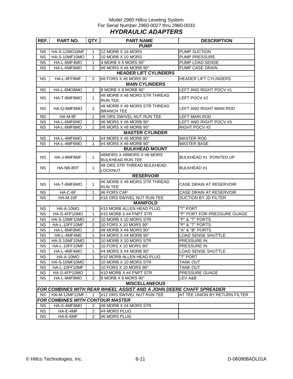#### Model 2960 Hillco Leveling System For Serial Number 2960-0027 thru 2960-0033 *HYDRAULIC ADAPTERS*

| REF.        | PART NO.                                | QTY.           | <b>PART NAME</b><br><b>DESCRIPTION</b>                                     |                               |  |  |  |
|-------------|-----------------------------------------|----------------|----------------------------------------------------------------------------|-------------------------------|--|--|--|
| <b>PUMP</b> |                                         |                |                                                                            |                               |  |  |  |
| <b>NS</b>   | HA-S-12MO16MF                           | 1              | 12 MORB X 16 MORS                                                          | <b>PUMP SUCTION</b>           |  |  |  |
| <b>NS</b>   | HA-S-10MF10MO                           | 1              | 10 MORB X 10 MORS                                                          | <b>PUMP PRESSURE</b>          |  |  |  |
| <b>NS</b>   | HA-L-6MF4MO                             | 1              | 4 MORB X 6 MORS 90°                                                        | PUMP LOAD SENSE               |  |  |  |
| <b>NS</b>   | HA-L-6MF6MO                             | 2              | #6 MORS X #6 MORB 90°                                                      | PUMP CASE DRAIN               |  |  |  |
|             |                                         |                | <b>HEADER LIFT CYLINDERS</b>                                               |                               |  |  |  |
| <b>NS</b>   | HA-L-8FF8MF                             | $\overline{2}$ | #8 FORS X #8 MORS 90                                                       | <b>HEADER LIFT CYLINDERS</b>  |  |  |  |
|             |                                         |                | <b>MAIN CYLINDERS</b>                                                      |                               |  |  |  |
| <b>NS</b>   | HA-L-8MO8MO                             | $\overline{2}$ | 8 MORB X 8 MORB 90°                                                        | LEFT AND RIGHT POCV #1        |  |  |  |
|             |                                         |                | #8 MORB X #8 MORS STR THREAD                                               |                               |  |  |  |
| <b>NS</b>   | HA-T-8MF8MO                             | $\mathbf{1}$   | <b>RUN TEE</b>                                                             | LEFT POCV #2                  |  |  |  |
|             |                                         |                | #8 MORB X #8 MORS STR THREAD                                               |                               |  |  |  |
| <b>NS</b>   | HA-Q-8MF8MO                             | $\overline{2}$ | <b>BRANCH TEE</b>                                                          | LEFT AND RIGHT MAIN ROD       |  |  |  |
| <b>NS</b>   | HA-M-8F                                 | 1              | #8 ORS SWIVEL NUT RUN TEE                                                  | LEFT MAIN ROD                 |  |  |  |
| <b>NS</b>   | HA-L-6MF6MO                             | $\overline{2}$ | #6 MORS X #6 MORB 90°                                                      | LEFT AND RIGHT POCV #3        |  |  |  |
| <b>NS</b>   | HA-L-8MF8MO                             | 1              | #8 MORS X #8 MORB 90°                                                      | RIGHT POCV #2                 |  |  |  |
|             |                                         |                | <b>MASTER CYLINDER</b>                                                     |                               |  |  |  |
| <b>NS</b>   | HA-L-4MF6MO                             | 1              | #4 MORS X #6 MORB 90°                                                      | <b>MASTER ROD</b>             |  |  |  |
| <b>NS</b>   | HA-L-4MF6MO                             | 1              | #4 MORS X #6 MORB 90°                                                      | <b>MASTER BASE</b>            |  |  |  |
|             |                                         |                | <b>BULKHEAD MOUNT</b>                                                      |                               |  |  |  |
|             |                                         |                | #8MORS X #8MORS X #8 MORS                                                  |                               |  |  |  |
| <b>NS</b>   | HA-J-8MF8MF                             | 1              | <b>BULKHEAD RUN TEE</b>                                                    | BULKHEAD #1 POINTED UP        |  |  |  |
|             |                                         |                | #8 ORS STR THREAD BULKHEAD                                                 |                               |  |  |  |
| <b>NS</b>   | HA-NB-8FF                               | $\mathbf 1$    | <b>LOCKNUT</b>                                                             | <b>BULKHEAD #1</b>            |  |  |  |
|             |                                         |                | <b>RESERVOIR</b>                                                           |                               |  |  |  |
|             |                                         |                | #6 MORB X #6 MORS STR THREAD                                               |                               |  |  |  |
| <b>NS</b>   | HA-T-6MF6MO                             | $\mathbf{1}$   | <b>RUN TEE</b>                                                             | CASE DRAIN AT RESERVOIR       |  |  |  |
| NS.         | HA-C-6F                                 | 1              | #6 FORS CAP                                                                | CASE DRAIN AT RESERVOIR       |  |  |  |
| <b>NS</b>   | <b>HA-M-16F</b>                         | 1              | #16 ORS SWIVEL NUT RUN TEE                                                 | SUCTION BY JD FILTER          |  |  |  |
|             |                                         |                | <b>MANIFOLD</b>                                                            |                               |  |  |  |
| <b>NS</b>   | HA-A-10MO                               | 1              | #10 MORB ALLEN HEAD PLUG                                                   | "T" PORT                      |  |  |  |
| <b>NS</b>   | HA-S-4FP10MO                            | $\mathbf{1}$   | #10 MORB X #4 FNPT STR                                                     | "P" PORT FOR PRESSURE GUAGE   |  |  |  |
| <b>NS</b>   | HA-S-10MF10MO                           | 2              | 10 MORB X 10 MORS STR                                                      | "P" & "T" PORTS               |  |  |  |
| <b>NS</b>   | HA-L-10FF10MF                           | $\overline{c}$ | 10 FORS X 10 MORS 90°                                                      | "P" & "T" PORTS               |  |  |  |
| <b>NS</b>   | HA-L-8MF8MO                             | $\overline{2}$ | #8 MORB X #8 MORS 90°                                                      | "A" & "B" PORTS               |  |  |  |
| <b>NS</b>   | HA-L-4MF4M0                             | 1              | #4 MORS X #4 MORB 90°                                                      | <b>LOAD SENSE SHUTTLE</b>     |  |  |  |
| <b>NS</b>   | HA-S-10MF10MO                           | 1              | 10 MORB X 10 MORS STR                                                      | PRESSURE IN                   |  |  |  |
| <b>NS</b>   | HA-L-10FF10MF                           | $\mathbf{1}$   | 10 FORS X 10 MORS 90°                                                      | PRESSURE IN                   |  |  |  |
| NS          | HA-L-4MF4MO                             | $\mathbf{1}$   | #4 MORS X #4 MORB 90°                                                      | <b>LOAD SENSE SHUTTLE</b>     |  |  |  |
| <b>NS</b>   | HA-A-10MO                               | 1              | #10 MORB ALLEN HEAD PLUG                                                   | "T" PORT                      |  |  |  |
| NS.         | HA-S-10MF10MO                           | 1              | 10 MORB X 10 MORS STR                                                      | <b>TANK OUT</b>               |  |  |  |
| <b>NS</b>   | HA-L-10FF10MF                           | 1              | 10 FORS X 10 MORS 90°                                                      | <b>TANK OUT</b>               |  |  |  |
| <b>NS</b>   | HA-S-4FP10MO                            | 1              | #10 MORB X #4 FNPT STR                                                     | PRESSURE GUAGE                |  |  |  |
| <b>NS</b>   | HA-L-8MF8MO                             | 2              | 8 MORB X 8 MORS 90°                                                        | LEV A&B                       |  |  |  |
|             |                                         |                | <b>MISCELLANEOUS</b>                                                       |                               |  |  |  |
|             |                                         |                | <b>FOR COMBINES WITH REAR WHEEL ASSIST AND A JOHN DEERE CHAFF SPREADER</b> |                               |  |  |  |
| <b>NS</b>   | HA-M-12MF12MF                           | $\mathbf 1$    | #12 ORS SWIVEL NUT RUN TEE                                                 | AT TEE UNION BY RETURN FILTER |  |  |  |
|             | <b>FOR COMBINES WITH CONTOUR MASTER</b> |                |                                                                            |                               |  |  |  |
| <b>NS</b>   | HA-S-4MF8MO                             | 2              | #8 MORB X #4 MORS STR                                                      |                               |  |  |  |
| <b>NS</b>   | HA-E-4MF                                | $\overline{2}$ | #4 MORS PLUG                                                               |                               |  |  |  |
| <b>NS</b>   | HA-E-6MF                                | $\overline{2}$ | #6 MORS PLUG                                                               |                               |  |  |  |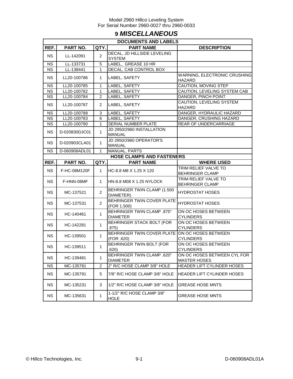### **9** *MISCELLANEOUS*

|                        | <b>DOCUMENTS AND LABELS</b> |                |                                                              |                                                    |  |  |  |
|------------------------|-----------------------------|----------------|--------------------------------------------------------------|----------------------------------------------------|--|--|--|
| REF.                   | PART NO.<br>QTY.I           |                | <b>PART NAME</b>                                             | <b>DESCRIPTION</b>                                 |  |  |  |
| <b>NS</b>              | LL-142091                   | 2              | DECAL, JD HILLSIDE LEVELING<br><b>SYSTEM</b>                 |                                                    |  |  |  |
| NS.                    | LL-133731                   | 5              | LABEL, GREASE 10 HR                                          |                                                    |  |  |  |
| <b>NS</b>              | LL-138441                   | 1              | DECAL, CAB CONTROL BOX                                       |                                                    |  |  |  |
| <b>NS</b>              | LL20-100786                 | $\mathbf 1$    | LABEL, SAFETY                                                | WARNING, ELECTRONIC CRUSHING<br><b>HAZARD</b>      |  |  |  |
| <b>NS</b>              | LL20-100785                 | $\mathbf 1$    | LABEL, SAFETY                                                | CAUTION, MOVING STEP                               |  |  |  |
| <b>NS</b>              | LL20-100782                 | 1              | LABEL, SAFETY                                                | CAUTION, LEVELING SYSTEM CAB                       |  |  |  |
| <b>NS</b>              | LL20-100784                 | $\overline{c}$ | LABEL, SAFETY                                                | DANGER, PINCH POINT                                |  |  |  |
| <b>NS</b>              | LL20-100787                 | 2              | LABEL, SAFETY                                                | CAUTION, LEVELING SYSTEM<br><b>HAZARD</b>          |  |  |  |
| <b>NS</b>              | LL20-100788                 | 3              | LABEL, SAFETY                                                | DANGER, HYDRAULIC HAZARD                           |  |  |  |
| $\overline{\text{NS}}$ | LL20-100783                 | 6              | LABEL, SAFETY                                                | DANGER, CRUSHING HAZARD                            |  |  |  |
| <b>NS</b>              | LL20-100790                 | 1              | SERIAL NUMBER PLATE                                          | REAR OF UNDERCARRIAGE                              |  |  |  |
| <b>NS</b>              | D-020830DJC01               | 1              | JD 2950/2960 INSTALLATION<br><b>MANUAL</b>                   |                                                    |  |  |  |
| <b>NS</b>              | D-020903CLA01               | 1              | JD 2950/2960 OPERATOR'S<br><b>MANUAL</b>                     |                                                    |  |  |  |
| <b>NS</b>              | D-060908ADL01               | 1              | <b>MANUAL, PARTS</b>                                         |                                                    |  |  |  |
|                        |                             |                | <b>HOSE CLAMPS AND FASTENERS</b>                             |                                                    |  |  |  |
| REF.                   | PART NO.                    | QTY.           | <b>PART NAME</b>                                             | <b>WHERE USED</b>                                  |  |  |  |
| <b>NS</b>              | F-HC-08M120F                | 1              | HC-8.8 M8 X 1.25 X 120                                       | TRIM RELIEF VALVE TO<br><b>BEHRINGER CLAMP</b>     |  |  |  |
| <b>NS</b>              | F-HNN-08MF                  | $\mathbf{1}$   | HN-8.8 M08 X 1.25 NYLOCK                                     | TRIM RELIEF VALVE TO<br><b>BEHRINGER CLAMP</b>     |  |  |  |
| <b>NS</b>              | MC-137521                   | $\overline{2}$ | BEHRINGER TWIN CLAMP (1.500<br>DIAMETER)                     | <b>HYDROSTAT HOSES</b>                             |  |  |  |
| <b>NS</b>              | MC-137531                   | $\overline{2}$ | BEHRINGER TWIN COVER PLATE<br>(FOR 1.500)                    | <b>HYDROSTAT HOSES</b>                             |  |  |  |
| <b>NS</b>              | HC-140461                   | $\mathbf{1}$   | <b>BEHRINGER TWIN CLAMP .875"</b><br><b>DIAMETER</b>         | ON OC HOSES BETWEEN<br><b>CYLINDERS</b>            |  |  |  |
| <b>NS</b>              | HC-142281                   | $\mathbf{1}$   | BEHRINGER STACK BOLT (FOR<br>.875)                           | ON OC HOSES BETWEEN<br><b>CYLINDERS</b>            |  |  |  |
| <b>NS</b>              | HC-139501                   | $\mathbf{1}$   | BEHRINGER TWIN COVER PLATE ON OC HOSES BETWEEN<br>(FOR .620) | <b>CYLINDERS</b>                                   |  |  |  |
| <b>NS</b>              | HC-139511                   | 1              | BEHRINGER TWIN BOLT (FOR<br>.620)                            | ON OC HOSES BETWEEN<br><b>CYLINDERS</b>            |  |  |  |
| <b>NS</b>              | HC-139481                   | 1              | <b>BEHRINGER TWIN CLAMP .620"</b><br><b>DIAMETER</b>         | ON OC HOSES BETWEEN CYL FOR<br><b>MASTER HOSES</b> |  |  |  |
| NS.                    | MC-135781                   | 2              | 2" R/C HOSE CLAMP 3/8" HOLE                                  | <b>HEADER LIFT CYLINDER HOSES</b>                  |  |  |  |
| <b>NS</b>              | MC-135791                   | 5              | 7/8" R/C HOSE CLAMP 3/8" HOLE                                | <b>HEADER LIFT CYLINDER HOSES</b>                  |  |  |  |
| <b>NS</b>              | MC-135231                   | 3              | 1/2" R/C HOSE CLAMP 3/8" HOLE                                | <b>GREASE HOSE MNTS</b>                            |  |  |  |
| <b>NS</b>              | MC-135631                   | 1              | 1-1/2" R/C HOSE CLAMP 3/8"<br><b>HOLE</b>                    | <b>GREASE HOSE MNTS</b>                            |  |  |  |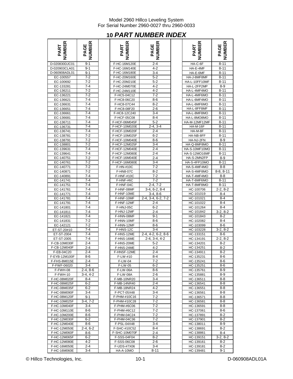### **10** *PART NUMBER INDEX*

| <b>IBER</b>   | ≃<br>19EI<br>ш<br>তৃ<br>হ |  |
|---------------|---------------------------|--|
| D-020830DJC01 | 9-1                       |  |
| D-020903CLA01 | $9 - 1$                   |  |
| D-060908ADL01 | 9-1                       |  |
| EC-100557     | $7 - 2$                   |  |
| EC-100692     | 7-2                       |  |
| EC-133281     | $7 - 4$                   |  |
| EC-136211     | $7 - 2$                   |  |
| EC-136221     | $7 - 2$                   |  |
| EC-136621     | 7-4                       |  |
| EC-136631     | $7 - 4$                   |  |
| EC-136651     | 7-4                       |  |
| EC-136661     | $7 - 4$                   |  |
| EC-136681     | 7-4                       |  |
| EC-136711     | $7 - 4$                   |  |
| EC-136731     | $7 - 4$                   |  |
| EC-136741     | $7 - 4$                   |  |
| EC-138781     | $7-2$                     |  |
| EC-138791     | 7-2                       |  |
| EC-138801     | $7-2$                     |  |
| EC-139631     | $7 - 4$                   |  |
| EC-139641     | $\overline{7-4}$          |  |
| EC-140751     | $7-2$                     |  |
| EC-140761     | $7-2$                     |  |
| EC-140771     | $7-2$                     |  |
| EC-140871     | 7-2                       |  |
| EC-140891     | $7 - 4$                   |  |
| EC-141741     | 7-4                       |  |
| EC-141751     | $7 - 4$                   |  |
| EC-141761     | 7-4                       |  |
| EC-141771     | $7 - \overline{4}$        |  |
| EC-141781     | 7-4                       |  |
| EC-141791     | 7-4                       |  |
| EC-141801     | $7 - 4$                   |  |
| EC-141811     | 7-4                       |  |
| EC-141821     | $7 - 4$                   |  |
| EC-141831     | 7-2                       |  |
| EC-142121     | $7-2$                     |  |
| ET-ST-20#10   | $7 - 4$                   |  |
| ET-ST-2004    | 7-4                       |  |
| ET-ST-2005    | $7 - 4$                   |  |
| F-CB-10M030F  | $2 - 4$                   |  |
| F-CB-12M040F  | $2 - 4$                   |  |
| F-EB-04C20    | 2-4                       |  |
| F-EYB-12M100F | 8-6                       |  |
| F-FHS-8M015E  | 2-4                       |  |
| F-FWF-06020   | 3-4                       |  |
| F-FWH-08      | 2-4, 8-6                  |  |
| F-FWH-10      | 3-4, 4-2                  |  |
| F-HC-08M020F  | 8-4                       |  |
| F-HC-08M025F  | 6-2                       |  |
| F-HC-08M035F  | 6-2                       |  |
| F-HC-08M090F  | 3-4                       |  |
| F-HC-08M120F  | 9-1                       |  |
| F-HC-10M025F  | $3-4, 7-2$                |  |
| F-HC-10M040F  | $3 - 4$                   |  |
| F-HC-10M110E  | $8-6$                     |  |
| F-HC-10M200E  | $8 - 6$                   |  |
| F-HC-12M030F  | 6-2                       |  |
| F-HC-12M040E  | 8-6                       |  |
| F-HC-12M050E  | 2-4, 6-2                  |  |
| F-HC-12M060F  | 8-6                       |  |
| F-HC-12M065F  | $6 - 2$                   |  |
| F-HC-12M080E  | 4-2                       |  |
| F-HC-16M050E  | $2 - 4$                   |  |
| F-HC-16M060E  | 3-4                       |  |
|               |                           |  |

| <b>PART<br/>NUMBER</b>         | <b>NUMBER</b><br>PAGE | PART<br>NUMBER               | <b>NUMBER</b><br>PAGE         | <b>NUMBER</b><br>PART      | <b>PAGE<br/>NUMBER</b> |
|--------------------------------|-----------------------|------------------------------|-------------------------------|----------------------------|------------------------|
| D-020830DJC01                  | $9 - 1$               | F-HC-16M120E                 | $2 - 4$                       | HA-C-6F                    | $8 - 11$               |
|                                | $9 - 1$               |                              | $4 - 2$                       | HA-E-4MF                   | $8 - 11$               |
| D-020903CLA01<br>D-060908ADL01 | $9 - 1$               | F-HC-16M140E<br>F-HC-16M180E | $3 - 4$                       |                            |                        |
|                                | $7 - 2$               |                              | $5 - 2$                       | HA-E-6MF                   | $8 - 11$<br>$8 - 11$   |
| EC-100557                      | $7 - 2$               | F-HC-20M160E                 | $5 - 2$                       | HA-J-8MF8MF                | $8 - 11$               |
| EC-100692                      | $7 - 4$               | F-HC-20M210E                 | $4 - 2$                       | HA-L-10FF10MF              | $8 - 9$                |
| EC-133281<br>EC-136211         | $7 - 2$               | F-HC-24M070E<br>F-HC-24M110E | $4 - 2$                       | HA-L-2FP2MP<br>HA-L-4MF4MO | $8 - 11$               |
| EC-136221                      | $7-2$                 | F-HC5-04C12                  | $7-2$                         | HA-L-4MF6MO                | $8 - 11$               |
| EC-136621                      | $7 - 4$               | F-HC8-06C20                  | $8 - 6$                       | HA-L-6MF4MO                | $8 - 11$               |
| EC-136631                      | $7 - 4$               | F-HC8-07C44                  | $8 - 2$                       | HA-L-6MF6MO                | $8 - 11$               |
| EC-136651                      | $7 - 4$               | F-HC8-08F20                  | $2 - 6$                       | HA-L-8FF8MF                | $8 - 11$               |
| EC-136661                      | $7 - 4$               | F-HC8-12C240                 | $3 - 4$                       | HA-L-8MF8MO                | $8 - 11$               |
| EC-136681                      | $7 - 4$               | F-HCF-05C08                  | $8 - 4$                       | HA-L-8MO8MO                | $8 - 11$               |
| EC-136711                      | $7 - 4$               | F-HCF-06M045F                | $5 - 2$                       | HA-M-12MF12MF              | $8 - 11$               |
| EC-136731                      | $7 - 4$               | F-HCF-10M020E                | $2-4, 3-4$                    | <b>HA-M-16F</b>            | $8 - 11$               |
| EC-136741                      | $7 - 4$               | F-HCF-10M020F                | $2 - 4$                       | HA-M-8F                    | $8 - 11$               |
| EC-138781                      | $7 - 2$               | F-HCF-10M025F                | $6 - 2$                       | HA-NB-8FF                  | $8 - 11$               |
| EC-138791                      | $7 - 2$               | F-HCF-10M040E                | $8 - 6$                       | HA-NJ-2FN                  | $8 - 9$                |
| EC-138801                      | $7 - 2$               | F-HCF-12M025F                | $3 - 4$                       | HA-Q-8MF8MO                | $8 - 11$               |
| EC-139631                      | $7 - 4$               | F-HCF-12M040E                | $2 - 4$                       | HA-S-10MF10MO              | $8 - 11$               |
| EC-139641                      | $7 - 4$               | F-HCF-12M080E                | $2 - 4$                       | HA-S-12MO16MF              | $8 - 11$               |
| EC-140751                      | $7 - 2$               | F-HCF-16M040E                | $2 - 4$                       | HA-S-2MN2FP                | $8 - 9$                |
| EC-140761                      | $7 - 2$               | F-HCF-16M080E                | $3 - 4$                       | HA-S-4FP10MO               | $8 - 11$               |
| EC-140771                      | $7 - 2$               | F-HN-#10C                    | $7 - 2$                       | HA-S-4MF4MO                | $8 - 8$                |
| EC-140871                      | $7 - 2$               | F-HN8-07C                    | $8 - 2$                       | HA-S-4MF8MO                | $8-8, 8-11$            |
| EC-140891                      | $7 - 4$               | F-HNF-#10C                   | $7 - 2$<br>$7 - 2$            | HA-T-4MF4MO                | $8 - 8$                |
| EC-141741                      | $7 - 4$<br>$7 - 4$    | F-HNF-#6C                    |                               | HA-T-6MF6MO                | $8 - 11$               |
| EC-141751<br>EC-141761         | $7 - 4$               | F-HNF-04C<br>F-HNF-08MF      | $2-4, 7-2$<br>$3-4, 6-2, 8-4$ | HA-T-8MF8MO<br>HC-100706   | $8 - 11$<br>$2-2, 8-2$ |
| EC-141771                      | $7 - 4$               | F-HNF-10ME                   | $3-4, 8-6$                    | HC-101019                  | $8 - 4$                |
| EC-141781                      | $7 - 4$               | F-HNF-10MF                   | 2-4, 3-4, 6-2, 7-2            | HC-101021                  | $8 - 4$                |
| EC-141791                      | $7 - 4$               | F-HNF-12MF                   | $2 - 4$                       | HC-101022                  | $8 - 4$                |
| EC-141801                      | $7 - 4$               | F-HNJ-05C                    | $6 - 2$                       | HC-101264                  | 8-4                    |
| EC-141811                      | $7 - 4$               | F-HNJ-12MF                   | $2 - 4$                       | HC-101842                  | $3-2, 8-2$             |
| EC-141821                      | $7 - 4$               | F-HNN-08MF                   | $9 - 1$                       | HC-101843                  | $8 - 2$                |
| EC-141831                      | $7 - 2$               | F-HNN-10MF                   | $8 - 6$                       | HC-102082                  | $8 - 4$                |
| EC-142121                      | $7 - 2$               | F-HNN-12MF                   | $8 - 6$                       | HC-103099                  | $8-6$                  |
| ET-ST-20#10                    | $7 - 4$               | F-HNS-12C                    | $3 - 4$                       | HC-103228                  | $3-2, 8-2$             |
| ET-ST-2004                     | $7 - 4$               | F-HNS-12ME                   | 2-4, 4-2, 6-2, 8-6            | HC-133151                  | 8-6                    |
| ET-ST-2005                     | $7 - 4$               | F-HNS-16ME                   | $2-4, 3-4, 4-2$               | HC-134191                  | $2-2, 8-2$             |
| F-CB-10M030F                   | $2 - 4$<br>2-4        | F-HNS-20ME<br>F-HNS-24ME     | $5 - 2$<br>$4 - 2$            | HC-134201<br>HC-134251     | $8 - 2$<br>$8 - 2$     |
| F-CB-12M040F<br>F-EB-04C20     | $2 - 4$               | F-HNSF-12MF                  | $2 - 4$                       | HC-134911                  | $8-2$                  |
| F-EYB-12M100F                  | 8-6                   | F-LW-#10                     | 8-4                           | HC-135231                  | 8-6                    |
| F-FHS-8M015E                   | $2 - 4$               | F-LW-04                      | 7-2                           | HC-135241                  | 8-6                    |
| F-FWF-06020                    | $3 - 4$               | F-LW-05                      | $6-2$                         | HC-135251                  | 8-6                    |
| F-FWH-08                       | $2-4, 8-6$            | <b>F-LW-06A</b>              | 8-6                           | HC-135761                  | 8-9                    |
| F-FWH-10                       | $3-4.4-2$             | <b>F-LW-08A</b>              | 2-6                           | HC-135881                  | 8-9                    |
| F-HC-08M020F                   | 8-4                   | F-MB-10NR20                  | 3-4                           | HC-136511                  | 8-8                    |
| F-HC-08M025F                   | $6 - 2$               | F-MB-14NR40                  | 2-4                           | HC-136541                  | 8-8                    |
| F-HC-08M035F                   | $6 - 2$               | F-MB-18NR24                  | 4-2                           | HC-136551                  | 8-8                    |
| F-HC-08M090F                   | 3-4                   | F-PCT-05X48                  | $3 - 4$                       | HC-136561                  | 8-8                    |
| F-HC-08M120F                   | 9-1                   | F-PHM-#10C16                 | 7-2                           | HC-136571                  | 8-8                    |
| F-HC-10M025F                   | $3-4, 7-2$            | F-PHM-#10C28                 | $7 - 2$                       | HC-136581                  | 8-8                    |
| F-HC-10M040F<br>F-HC-10M110E   | $3 - 4$<br>$8-6$      | F-PHM-#6C06<br>F-PHM-#6C12   | $7 - 2$<br>$7-2$              | HC-136591<br>HC-137061     | 8-8<br>8-6             |
| F-HC-10M200E                   | 8-6                   | F-PHM-04C24                  | 7-2                           | HC-137891                  | 8-2                    |
| F-HC-12M030F                   | $6 - 2$               | F-PHM-04C36                  | 7-2                           | HC-137901                  | 8-2                    |
| F-HC-12M040E                   | 8-6                   | F-PSL-04X48                  | $3 - 4$                       | HC-138011                  | $8-9$                  |
| F-HC-12M050E                   | $2-4, 6-2$            | F-SHC-#10C52                 | 8-4                           | HC-138691                  | $8 - 2$                |
| F-HC-12M060F                   | 8-6                   | F-SHC-10M070F                | 2-4                           | HC-138861                  | 8-4                    |
| F-HC-12M065F                   | $6 - 2$               | F-SSS-04F04                  | 8-2                           | HC-139151                  | $3-2, 8-2$             |
| F-HC-12M080E                   | $4 - 2$               | F-SSS-06C08                  | $2 - 6$                       | HC-139161                  | $8 - 2$                |
| F-HC-16M050E                   | $2 - 4$               | F-UDS-#7X06                  | $3 - 4$                       | HC-139181                  | $8-2$                  |
| F-HC-16M060E                   | 3-4                   | HA-A-10MO                    | $8 - 11$                      | HC-139481                  | $9 - 1$                |

| ≃<br>ш                 | ≃<br>ш<br>ш<br>ত<br>∢ |
|------------------------|-----------------------|
| HA-C-6F                | $8 - 11$              |
| HA-E-4MF               | 8-11                  |
| HA-E-6MF               | 8-11                  |
| HA-J-8MF8MF            | $8 - 11$              |
| HA-L-10FF10MF          | $8 - 11$              |
| HA-L-2FP2MP            | $8-9$                 |
| HA-L-4MF4MO            | 8-11                  |
| HA-L-4MF6MO            | $8 - 11$              |
| HA-L-6MF4MO            | $8 - 11$              |
| HA-L-6MF6MO            | 8-11                  |
| HA-L-8FF8MF            | $8 - 11$              |
| HA-L-8MF8MO            | $8 - 11$              |
| HA-L-8MO8MO            | $8 - 11$              |
| HA-M-12MF12MF          | 8-11                  |
| <b>HA-M-16F</b>        | $8 - 11$              |
| HA-M-8F                | $8 - 11$              |
| HA-NB-8FF              | $8 - 11$              |
| HA-NJ-2FN              | 8-9                   |
| HA-Q-8MF8MO            | $8 - 11$              |
| HA-S-10MF10MO          | $8 - 11$              |
| HA-S-12MO16MF          | $8 - 11$              |
| HA-S-2MN2FP            | $8 - 9$               |
| HA-S-4FP10MO           | $8 - 11$              |
| HA-S-4MF4MO            | $8 - 8$               |
| HA-S-4MF8MO            | $8-8, 8-11$           |
| HA-T-4MF4MO            | $8 - 8$               |
| HA-T-6MF6MO            | 8-11                  |
| HA-T-8MF8MO            | 8-11                  |
| HC-100706              | $2-2, 8-2$            |
| HC-101019              | $8 - 4$               |
| HC-101021              | $8 - 4$               |
| HC-101022              | $8 - 4$               |
| HC-101264              | $8 - 4$               |
| HC-101842              | $3-2, 8-2$            |
| HC-101843              | 8-2                   |
| HC-102082              | $8 - 4$               |
| HC-103099              | 8-6                   |
| HC-103228              | $3-2, 8-2$            |
| HC-133151              | 8-6                   |
| HC-134191              | 2-2, 8-2              |
| HC-134201              | $8 - 2$               |
| HC-134251              | $8-2$                 |
| HC-134911              | $\overline{2}$<br>8-  |
| HC-135231              | 8-6                   |
| HC-135241              | 8-6                   |
| HC-135251              | 8-6                   |
| HC-135761              | 8-9                   |
| HC-135881              | 8-9                   |
| HC-136511              | $8 - 8$<br>$8 - 8$    |
| HC-136541              | 8-8                   |
| HC-136551<br>HC-136561 | 8-8                   |
|                        | 8-8                   |
| HC-136571<br>HC-136581 | 8-8                   |
| HC-136591              | 8-8                   |
| HC-137061              | 8-6                   |
| HC-137891              | $8-2$                 |
| HC-137901              | $8-2$                 |
| HC-138011              | $8-9$                 |
| HC-138691              | $8-2$                 |
| HC-138861              | $8 - 4$               |
| HC-139151              | $3-2, 8-2$            |
| HC-139161              | $8 - 2$               |
| HC-139181              | 8-2                   |
| HC-139481              | $9 - 1$               |
|                        |                       |

© Hillco Technologies, Inc. 10-1 10-1 D-060908ADL01A